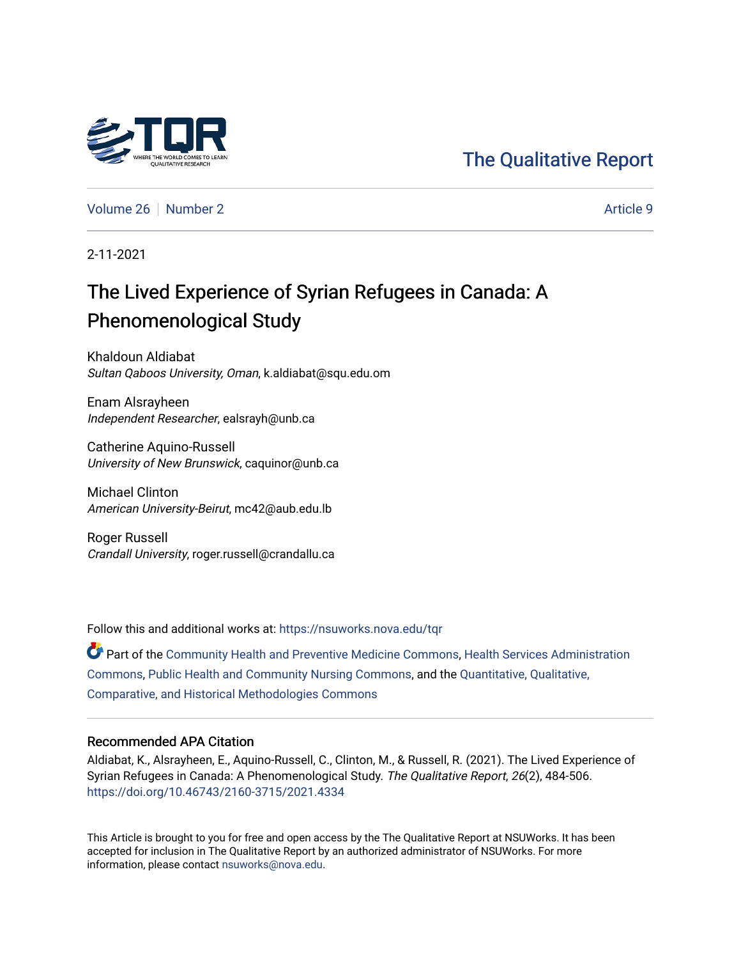# [The Qualitative Report](https://nsuworks.nova.edu/tqr)

[Volume 26](https://nsuworks.nova.edu/tqr/vol26) [Number 2](https://nsuworks.nova.edu/tqr/vol26/iss2) Article 9

2-11-2021

# The Lived Experience of Syrian Refugees in Canada: A Phenomenological Study

Khaldoun Aldiabat Sultan Qaboos University, Oman, k.aldiabat@squ.edu.om

Enam Alsrayheen Independent Researcher, ealsrayh@unb.ca

Catherine Aquino-Russell University of New Brunswick, caquinor@unb.ca

Michael Clinton American University-Beirut, mc42@aub.edu.lb

Roger Russell Crandall University, roger.russell@crandallu.ca

Follow this and additional works at: [https://nsuworks.nova.edu/tqr](https://nsuworks.nova.edu/tqr?utm_source=nsuworks.nova.edu%2Ftqr%2Fvol26%2Fiss2%2F9&utm_medium=PDF&utm_campaign=PDFCoverPages) 

Part of the [Community Health and Preventive Medicine Commons](http://network.bepress.com/hgg/discipline/744?utm_source=nsuworks.nova.edu%2Ftqr%2Fvol26%2Fiss2%2F9&utm_medium=PDF&utm_campaign=PDFCoverPages), [Health Services Administration](http://network.bepress.com/hgg/discipline/747?utm_source=nsuworks.nova.edu%2Ftqr%2Fvol26%2Fiss2%2F9&utm_medium=PDF&utm_campaign=PDFCoverPages)  [Commons](http://network.bepress.com/hgg/discipline/747?utm_source=nsuworks.nova.edu%2Ftqr%2Fvol26%2Fiss2%2F9&utm_medium=PDF&utm_campaign=PDFCoverPages), [Public Health and Community Nursing Commons](http://network.bepress.com/hgg/discipline/725?utm_source=nsuworks.nova.edu%2Ftqr%2Fvol26%2Fiss2%2F9&utm_medium=PDF&utm_campaign=PDFCoverPages), and the [Quantitative, Qualitative,](http://network.bepress.com/hgg/discipline/423?utm_source=nsuworks.nova.edu%2Ftqr%2Fvol26%2Fiss2%2F9&utm_medium=PDF&utm_campaign=PDFCoverPages) [Comparative, and Historical Methodologies Commons](http://network.bepress.com/hgg/discipline/423?utm_source=nsuworks.nova.edu%2Ftqr%2Fvol26%2Fiss2%2F9&utm_medium=PDF&utm_campaign=PDFCoverPages) 

#### Recommended APA Citation

Aldiabat, K., Alsrayheen, E., Aquino-Russell, C., Clinton, M., & Russell, R. (2021). The Lived Experience of Syrian Refugees in Canada: A Phenomenological Study. The Qualitative Report, 26(2), 484-506. <https://doi.org/10.46743/2160-3715/2021.4334>

This Article is brought to you for free and open access by the The Qualitative Report at NSUWorks. It has been accepted for inclusion in The Qualitative Report by an authorized administrator of NSUWorks. For more information, please contact [nsuworks@nova.edu.](mailto:nsuworks@nova.edu)

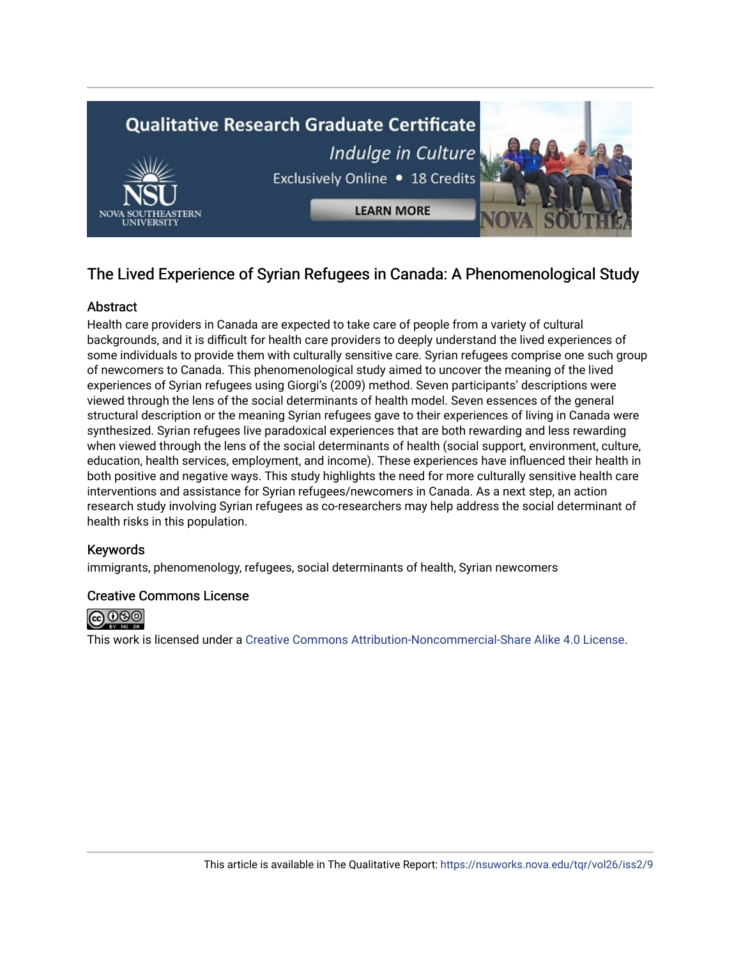

# The Lived Experience of Syrian Refugees in Canada: A Phenomenological Study

# **Abstract**

Health care providers in Canada are expected to take care of people from a variety of cultural backgrounds, and it is difficult for health care providers to deeply understand the lived experiences of some individuals to provide them with culturally sensitive care. Syrian refugees comprise one such group of newcomers to Canada. This phenomenological study aimed to uncover the meaning of the lived experiences of Syrian refugees using Giorgi's (2009) method. Seven participants' descriptions were viewed through the lens of the social determinants of health model. Seven essences of the general structural description or the meaning Syrian refugees gave to their experiences of living in Canada were synthesized. Syrian refugees live paradoxical experiences that are both rewarding and less rewarding when viewed through the lens of the social determinants of health (social support, environment, culture, education, health services, employment, and income). These experiences have influenced their health in both positive and negative ways. This study highlights the need for more culturally sensitive health care interventions and assistance for Syrian refugees/newcomers in Canada. As a next step, an action research study involving Syrian refugees as co-researchers may help address the social determinant of health risks in this population.

# Keywords

immigrants, phenomenology, refugees, social determinants of health, Syrian newcomers

# Creative Commons License



This work is licensed under a [Creative Commons Attribution-Noncommercial-Share Alike 4.0 License](https://creativecommons.org/licenses/by-nc-sa/4.0/).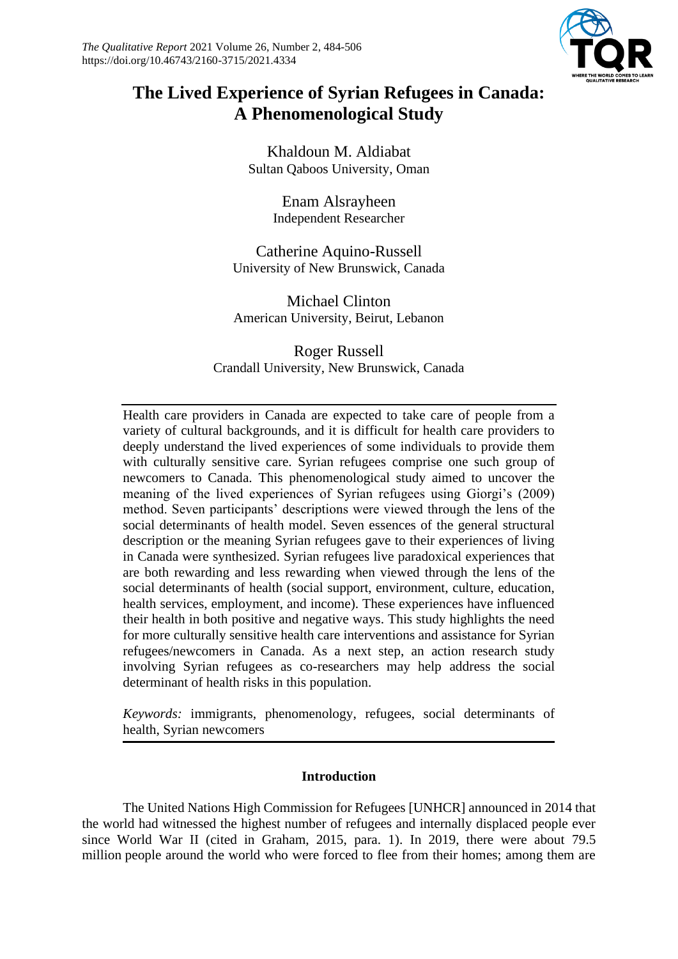

# **The Lived Experience of Syrian Refugees in Canada: A Phenomenological Study**

Khaldoun M. Aldiabat Sultan Qaboos University, Oman

> Enam Alsrayheen Independent Researcher

Catherine Aquino-Russell University of New Brunswick, Canada

Michael Clinton American University, Beirut, Lebanon

Roger Russell Crandall University, New Brunswick, Canada

Health care providers in Canada are expected to take care of people from a variety of cultural backgrounds, and it is difficult for health care providers to deeply understand the lived experiences of some individuals to provide them with culturally sensitive care. Syrian refugees comprise one such group of newcomers to Canada. This phenomenological study aimed to uncover the meaning of the lived experiences of Syrian refugees using Giorgi's (2009) method. Seven participants' descriptions were viewed through the lens of the social determinants of health model. Seven essences of the general structural description or the meaning Syrian refugees gave to their experiences of living in Canada were synthesized. Syrian refugees live paradoxical experiences that are both rewarding and less rewarding when viewed through the lens of the social determinants of health (social support, environment, culture, education, health services, employment, and income). These experiences have influenced their health in both positive and negative ways. This study highlights the need for more culturally sensitive health care interventions and assistance for Syrian refugees/newcomers in Canada. As a next step, an action research study involving Syrian refugees as co-researchers may help address the social determinant of health risks in this population.

*Keywords:* immigrants, phenomenology, refugees, social determinants of health, Syrian newcomers

# **Introduction**

The United Nations High Commission for Refugees [UNHCR] announced in 2014 that the world had witnessed the highest number of refugees and internally displaced people ever since World War II (cited in Graham, 2015, para. 1). In 2019, there were about 79.5 million people around the world who were forced to flee from their homes; among them are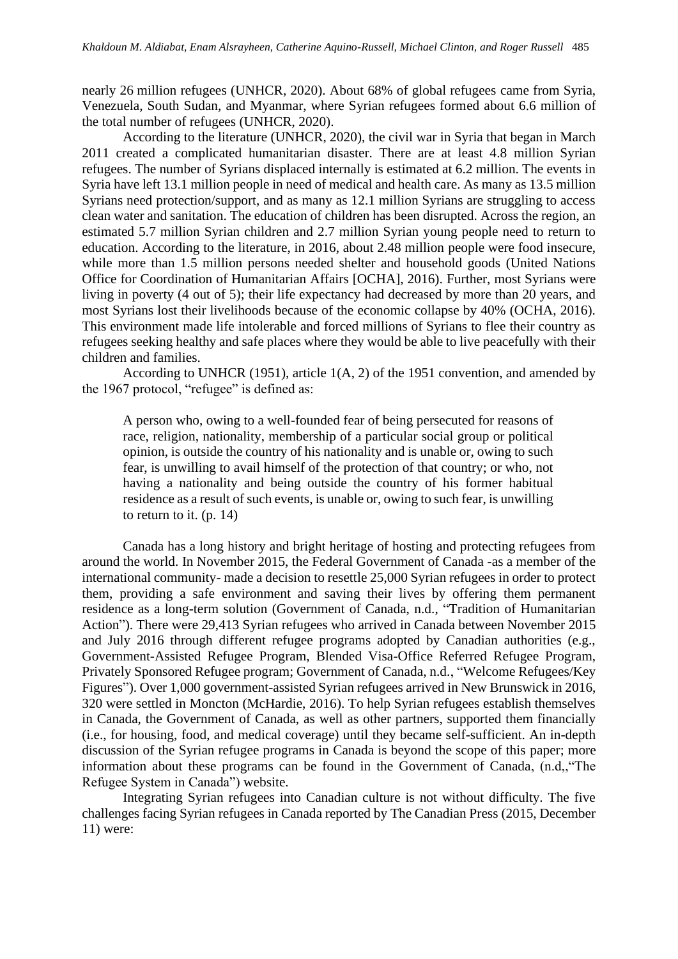nearly 26 million refugees (UNHCR, 2020). About 68% of global refugees came from Syria, Venezuela, South Sudan, and Myanmar, where Syrian refugees formed about 6.6 million of the total number of refugees (UNHCR, 2020).

According to the literature (UNHCR, 2020), the civil war in Syria that began in March 2011 created a complicated humanitarian disaster. There are at least 4.8 million Syrian refugees. The number of Syrians displaced internally is estimated at 6.2 million. The events in Syria have left 13.1 million people in need of medical and health care. As many as 13.5 million Syrians need protection/support, and as many as 12.1 million Syrians are struggling to access clean water and sanitation. The education of children has been disrupted. Across the region, an estimated 5.7 million Syrian children and 2.7 million Syrian young people need to return to education. According to the literature, in 2016, about 2.48 million people were food insecure, while more than 1.5 million persons needed shelter and household goods (United Nations Office for Coordination of Humanitarian Affairs [OCHA], 2016). Further, most Syrians were living in poverty (4 out of 5); their life expectancy had decreased by more than 20 years, and most Syrians lost their livelihoods because of the economic collapse by 40% (OCHA, 2016). This environment made life intolerable and forced millions of Syrians to flee their country as refugees seeking healthy and safe places where they would be able to live peacefully with their children and families.

According to UNHCR (1951), article 1(A, 2) of the 1951 convention, and amended by the 1967 protocol, "refugee" is defined as:

A person who, owing to a well-founded fear of being persecuted for reasons of race, religion, nationality, membership of a particular social group or political opinion, is outside the country of his nationality and is unable or, owing to such fear, is unwilling to avail himself of the protection of that country; or who, not having a nationality and being outside the country of his former habitual residence as a result of such events, is unable or, owing to such fear, is unwilling to return to it. (p. 14)

Canada has a long history and bright heritage of hosting and protecting refugees from around the world. In November 2015, the Federal Government of Canada -as a member of the international community- made a decision to resettle 25,000 Syrian refugees in order to protect them, providing a safe environment and saving their lives by offering them permanent residence as a long-term solution (Government of Canada, n.d., "Tradition of Humanitarian Action"). There were 29,413 Syrian refugees who arrived in Canada between November 2015 and July 2016 through different refugee programs adopted by Canadian authorities (e.g., Government-Assisted Refugee Program, Blended Visa-Office Referred Refugee Program, Privately Sponsored Refugee program; Government of Canada, n.d., "Welcome Refugees/Key Figures"). Over 1,000 government-assisted Syrian refugees arrived in New Brunswick in 2016, 320 were settled in Moncton (McHardie, 2016). To help Syrian refugees establish themselves in Canada, the Government of Canada, as well as other partners, supported them financially (i.e., for housing, food, and medical coverage) until they became self-sufficient. An in-depth discussion of the Syrian refugee programs in Canada is beyond the scope of this paper; more information about these programs can be found in the Government of Canada, (n.d,,"The Refugee System in Canada") website.

Integrating Syrian refugees into Canadian culture is not without difficulty. The five challenges facing Syrian refugees in Canada reported by The Canadian Press (2015, December 11) were: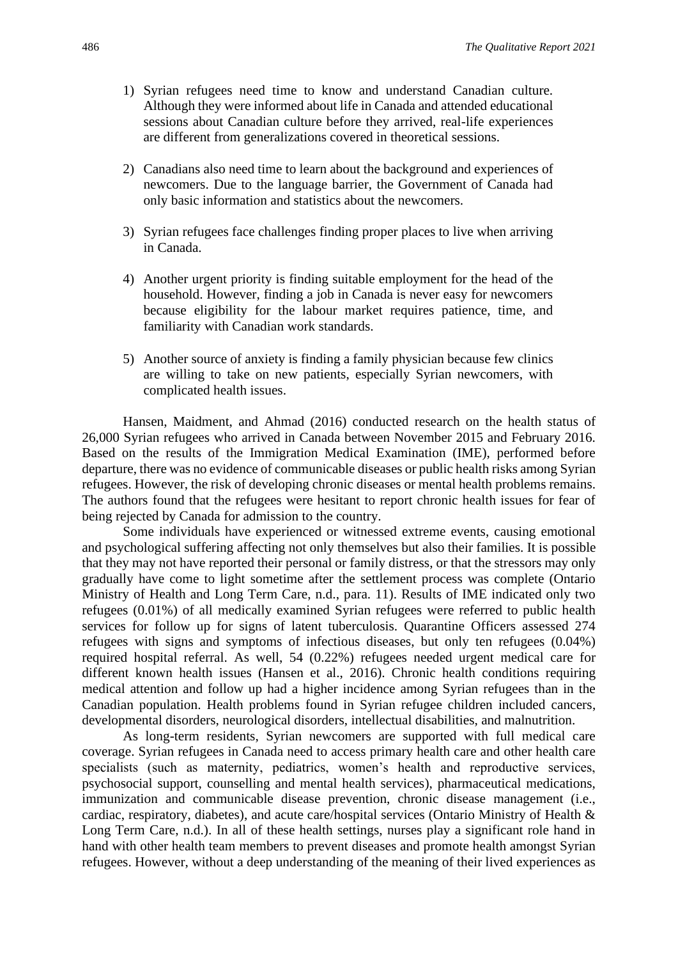- 1) Syrian refugees need time to know and understand Canadian culture. Although they were informed about life in Canada and attended educational sessions about Canadian culture before they arrived, real-life experiences are different from generalizations covered in theoretical sessions.
- 2) Canadians also need time to learn about the background and experiences of newcomers. Due to the language barrier, the Government of Canada had only basic information and statistics about the newcomers.
- 3) Syrian refugees face challenges finding proper places to live when arriving in Canada.
- 4) Another urgent priority is finding suitable employment for the head of the household. However, finding a job in Canada is never easy for newcomers because eligibility for the labour market requires patience, time, and familiarity with Canadian work standards.
- 5) Another source of anxiety is finding a family physician because few clinics are willing to take on new patients, especially Syrian newcomers, with complicated health issues.

Hansen, Maidment, and Ahmad (2016) conducted research on the health status of 26,000 Syrian refugees who arrived in Canada between November 2015 and February 2016. Based on the results of the Immigration Medical Examination (IME), performed before departure, there was no evidence of communicable diseases or public health risks among Syrian refugees. However, the risk of developing chronic diseases or mental health problems remains. The authors found that the refugees were hesitant to report chronic health issues for fear of being rejected by Canada for admission to the country.

Some individuals have experienced or witnessed extreme events, causing emotional and psychological suffering affecting not only themselves but also their families. It is possible that they may not have reported their personal or family distress, or that the stressors may only gradually have come to light sometime after the settlement process was complete (Ontario Ministry of Health and Long Term Care, n.d., para. 11). Results of IME indicated only two refugees (0.01%) of all medically examined Syrian refugees were referred to public health services for follow up for signs of latent tuberculosis. Quarantine Officers assessed 274 refugees with signs and symptoms of infectious diseases, but only ten refugees (0.04%) required hospital referral. As well, 54 (0.22%) refugees needed urgent medical care for different known health issues (Hansen et al., 2016). Chronic health conditions requiring medical attention and follow up had a higher incidence among Syrian refugees than in the Canadian population. Health problems found in Syrian refugee children included cancers, developmental disorders, neurological disorders, intellectual disabilities, and malnutrition.

As long-term residents, Syrian newcomers are supported with full medical care coverage. Syrian refugees in Canada need to access primary health care and other health care specialists (such as maternity, pediatrics, women's health and reproductive services, psychosocial support, counselling and mental health services), pharmaceutical medications, immunization and communicable disease prevention, chronic disease management (i.e., cardiac, respiratory, diabetes), and acute care/hospital services (Ontario Ministry of Health & Long Term Care, n.d.). In all of these health settings, nurses play a significant role hand in hand with other health team members to prevent diseases and promote health amongst Syrian refugees. However, without a deep understanding of the meaning of their lived experiences as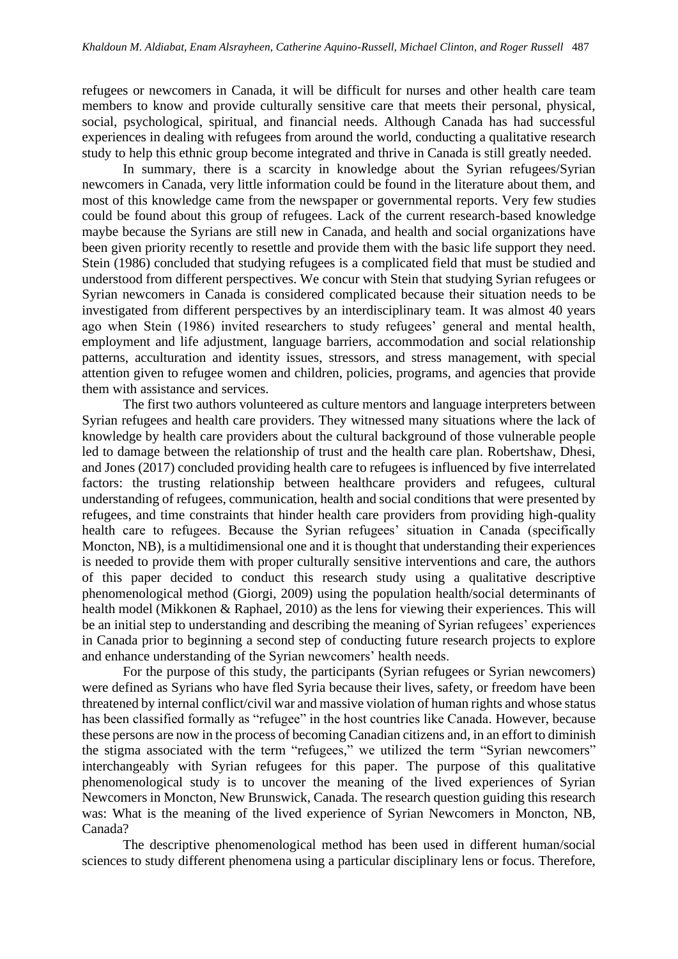refugees or newcomers in Canada, it will be difficult for nurses and other health care team members to know and provide culturally sensitive care that meets their personal, physical, social, psychological, spiritual, and financial needs. Although Canada has had successful experiences in dealing with refugees from around the world, conducting a qualitative research study to help this ethnic group become integrated and thrive in Canada is still greatly needed.

In summary, there is a scarcity in knowledge about the Syrian refugees/Syrian newcomers in Canada, very little information could be found in the literature about them, and most of this knowledge came from the newspaper or governmental reports. Very few studies could be found about this group of refugees. Lack of the current research-based knowledge maybe because the Syrians are still new in Canada, and health and social organizations have been given priority recently to resettle and provide them with the basic life support they need. Stein (1986) concluded that studying refugees is a complicated field that must be studied and understood from different perspectives. We concur with Stein that studying Syrian refugees or Syrian newcomers in Canada is considered complicated because their situation needs to be investigated from different perspectives by an interdisciplinary team. It was almost 40 years ago when Stein (1986) invited researchers to study refugees' general and mental health, employment and life adjustment, language barriers, accommodation and social relationship patterns, acculturation and identity issues, stressors, and stress management, with special attention given to refugee women and children, policies, programs, and agencies that provide them with assistance and services.

The first two authors volunteered as culture mentors and language interpreters between Syrian refugees and health care providers. They witnessed many situations where the lack of knowledge by health care providers about the cultural background of those vulnerable people led to damage between the relationship of trust and the health care plan. Robertshaw, Dhesi, and Jones (2017) concluded providing health care to refugees is influenced by five interrelated factors: the trusting relationship between healthcare providers and refugees, cultural understanding of refugees, communication, health and social conditions that were presented by refugees, and time constraints that hinder health care providers from providing high-quality health care to refugees. Because the Syrian refugees' situation in Canada (specifically Moncton, NB), is a multidimensional one and it is thought that understanding their experiences is needed to provide them with proper culturally sensitive interventions and care, the authors of this paper decided to conduct this research study using a qualitative descriptive phenomenological method (Giorgi, 2009) using the population health/social determinants of health model (Mikkonen & Raphael, 2010) as the lens for viewing their experiences. This will be an initial step to understanding and describing the meaning of Syrian refugees' experiences in Canada prior to beginning a second step of conducting future research projects to explore and enhance understanding of the Syrian newcomers' health needs.

For the purpose of this study, the participants (Syrian refugees or Syrian newcomers) were defined as Syrians who have fled Syria because their lives, safety, or freedom have been threatened by internal conflict/civil war and massive violation of human rights and whose status has been classified formally as "refugee" in the host countries like Canada. However, because these persons are now in the process of becoming Canadian citizens and, in an effort to diminish the stigma associated with the term "refugees," we utilized the term "Syrian newcomers" interchangeably with Syrian refugees for this paper. The purpose of this qualitative phenomenological study is to uncover the meaning of the lived experiences of Syrian Newcomers in Moncton, New Brunswick, Canada. The research question guiding this research was: What is the meaning of the lived experience of Syrian Newcomers in Moncton, NB, Canada?

The descriptive phenomenological method has been used in different human/social sciences to study different phenomena using a particular disciplinary lens or focus. Therefore,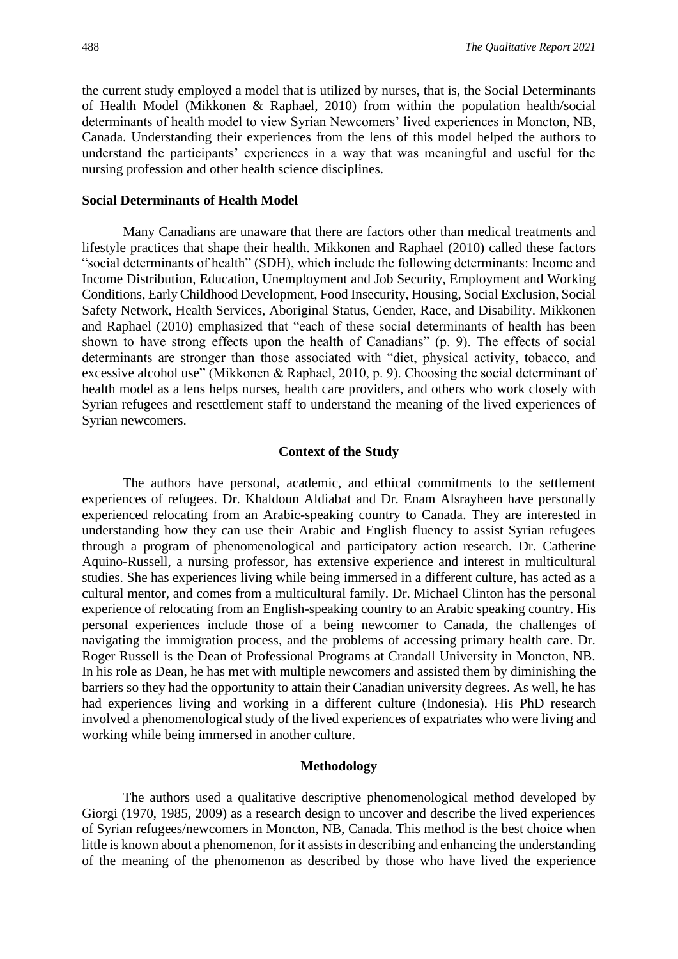the current study employed a model that is utilized by nurses, that is, the Social Determinants of Health Model (Mikkonen & Raphael, 2010) from within the population health/social determinants of health model to view Syrian Newcomers' lived experiences in Moncton, NB, Canada. Understanding their experiences from the lens of this model helped the authors to understand the participants' experiences in a way that was meaningful and useful for the nursing profession and other health science disciplines.

#### **Social Determinants of Health Model**

Many Canadians are unaware that there are factors other than medical treatments and lifestyle practices that shape their health. Mikkonen and Raphael (2010) called these factors "social determinants of health" (SDH), which include the following determinants: Income and Income Distribution, Education, Unemployment and Job Security, Employment and Working Conditions, Early Childhood Development, Food Insecurity, Housing, Social Exclusion, Social Safety Network, Health Services, Aboriginal Status, Gender, Race, and Disability. Mikkonen and Raphael (2010) emphasized that "each of these social determinants of health has been shown to have strong effects upon the health of Canadians" (p. 9). The effects of social determinants are stronger than those associated with "diet, physical activity, tobacco, and excessive alcohol use" (Mikkonen & Raphael, 2010, p. 9). Choosing the social determinant of health model as a lens helps nurses, health care providers, and others who work closely with Syrian refugees and resettlement staff to understand the meaning of the lived experiences of Syrian newcomers.

#### **Context of the Study**

The authors have personal, academic, and ethical commitments to the settlement experiences of refugees. Dr. Khaldoun Aldiabat and Dr. Enam Alsrayheen have personally experienced relocating from an Arabic-speaking country to Canada. They are interested in understanding how they can use their Arabic and English fluency to assist Syrian refugees through a program of phenomenological and participatory action research. Dr. Catherine Aquino-Russell, a nursing professor, has extensive experience and interest in multicultural studies. She has experiences living while being immersed in a different culture, has acted as a cultural mentor, and comes from a multicultural family. Dr. Michael Clinton has the personal experience of relocating from an English-speaking country to an Arabic speaking country. His personal experiences include those of a being newcomer to Canada, the challenges of navigating the immigration process, and the problems of accessing primary health care. Dr. Roger Russell is the Dean of Professional Programs at Crandall University in Moncton, NB. In his role as Dean, he has met with multiple newcomers and assisted them by diminishing the barriers so they had the opportunity to attain their Canadian university degrees. As well, he has had experiences living and working in a different culture (Indonesia). His PhD research involved a phenomenological study of the lived experiences of expatriates who were living and working while being immersed in another culture.

### **Methodology**

The authors used a qualitative descriptive phenomenological method developed by Giorgi (1970, 1985, 2009) as a research design to uncover and describe the lived experiences of Syrian refugees/newcomers in Moncton, NB, Canada. This method is the best choice when little is known about a phenomenon, for it assists in describing and enhancing the understanding of the meaning of the phenomenon as described by those who have lived the experience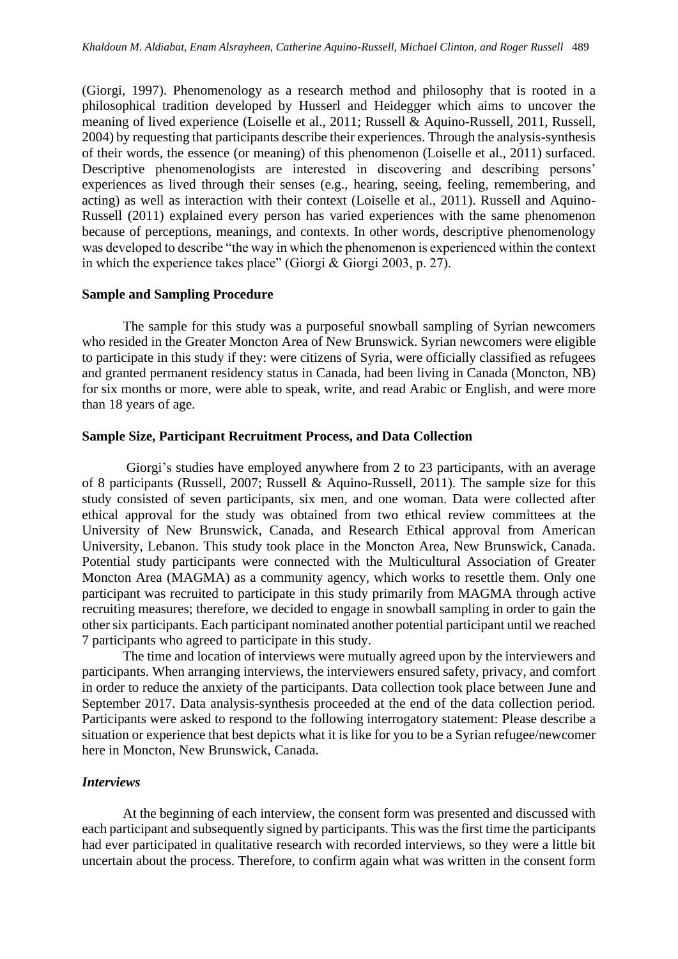(Giorgi, 1997). Phenomenology as a research method and philosophy that is rooted in a philosophical tradition developed by Husserl and Heidegger which aims to uncover the meaning of lived experience (Loiselle et al., 2011; Russell & Aquino-Russell, 2011, Russell, 2004) by requesting that participants describe their experiences. Through the analysis-synthesis of their words, the essence (or meaning) of this phenomenon (Loiselle et al., 2011) surfaced. Descriptive phenomenologists are interested in discovering and describing persons' experiences as lived through their senses (e.g., hearing, seeing, feeling, remembering, and acting) as well as interaction with their context (Loiselle et al., 2011). Russell and Aquino-Russell (2011) explained every person has varied experiences with the same phenomenon because of perceptions, meanings, and contexts. In other words, descriptive phenomenology was developed to describe "the way in which the phenomenon is experienced within the context in which the experience takes place" (Giorgi & Giorgi 2003, p. 27).

#### **Sample and Sampling Procedure**

The sample for this study was a purposeful snowball sampling of Syrian newcomers who resided in the Greater Moncton Area of New Brunswick. Syrian newcomers were eligible to participate in this study if they: were citizens of Syria, were officially classified as refugees and granted permanent residency status in Canada, had been living in Canada (Moncton, NB) for six months or more, were able to speak, write, and read Arabic or English, and were more than 18 years of age.

# **Sample Size, Participant Recruitment Process, and Data Collection**

Giorgi's studies have employed anywhere from 2 to 23 participants, with an average of 8 participants (Russell, 2007; Russell & Aquino-Russell, 2011). The sample size for this study consisted of seven participants, six men, and one woman. Data were collected after ethical approval for the study was obtained from two ethical review committees at the University of New Brunswick, Canada, and Research Ethical approval from American University, Lebanon. This study took place in the Moncton Area, New Brunswick, Canada. Potential study participants were connected with the Multicultural Association of Greater Moncton Area (MAGMA) as a community agency, which works to resettle them. Only one participant was recruited to participate in this study primarily from MAGMA through active recruiting measures; therefore, we decided to engage in snowball sampling in order to gain the other six participants. Each participant nominated another potential participant until we reached 7 participants who agreed to participate in this study.

The time and location of interviews were mutually agreed upon by the interviewers and participants. When arranging interviews, the interviewers ensured safety, privacy, and comfort in order to reduce the anxiety of the participants. Data collection took place between June and September 2017. Data analysis-synthesis proceeded at the end of the data collection period. Participants were asked to respond to the following interrogatory statement: Please describe a situation or experience that best depicts what it is like for you to be a Syrian refugee/newcomer here in Moncton, New Brunswick, Canada.

### *Interviews*

At the beginning of each interview, the consent form was presented and discussed with each participant and subsequently signed by participants. This was the first time the participants had ever participated in qualitative research with recorded interviews, so they were a little bit uncertain about the process. Therefore, to confirm again what was written in the consent form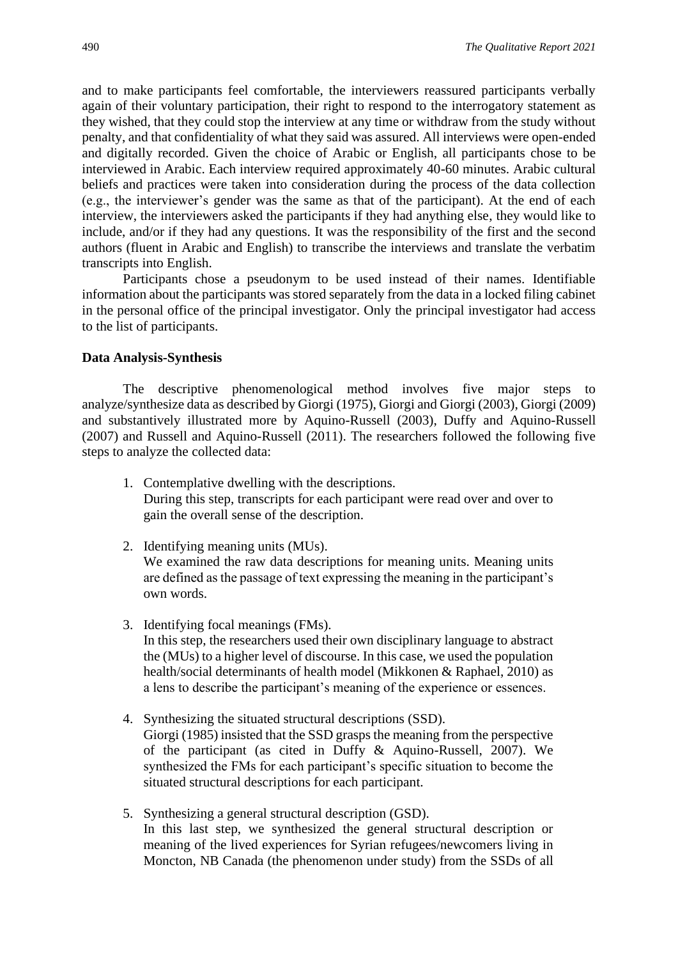and to make participants feel comfortable, the interviewers reassured participants verbally again of their voluntary participation, their right to respond to the interrogatory statement as they wished, that they could stop the interview at any time or withdraw from the study without penalty, and that confidentiality of what they said was assured. All interviews were open-ended and digitally recorded. Given the choice of Arabic or English, all participants chose to be interviewed in Arabic. Each interview required approximately 40-60 minutes. Arabic cultural beliefs and practices were taken into consideration during the process of the data collection (e.g., the interviewer's gender was the same as that of the participant). At the end of each interview, the interviewers asked the participants if they had anything else, they would like to include, and/or if they had any questions. It was the responsibility of the first and the second authors (fluent in Arabic and English) to transcribe the interviews and translate the verbatim transcripts into English.

Participants chose a pseudonym to be used instead of their names. Identifiable information about the participants was stored separately from the data in a locked filing cabinet in the personal office of the principal investigator. Only the principal investigator had access to the list of participants.

#### **Data Analysis-Synthesis**

The descriptive phenomenological method involves five major steps to analyze/synthesize data as described by Giorgi (1975), Giorgi and Giorgi (2003), Giorgi (2009) and substantively illustrated more by Aquino-Russell (2003), Duffy and Aquino-Russell (2007) and Russell and Aquino-Russell (2011). The researchers followed the following five steps to analyze the collected data:

- 1. Contemplative dwelling with the descriptions. During this step, transcripts for each participant were read over and over to gain the overall sense of the description.
- 2. Identifying meaning units (MUs). We examined the raw data descriptions for meaning units. Meaning units are defined as the passage of text expressing the meaning in the participant's own words.
- 3. Identifying focal meanings (FMs). In this step, the researchers used their own disciplinary language to abstract the (MUs) to a higher level of discourse. In this case, we used the population health/social determinants of health model (Mikkonen & Raphael, 2010) as a lens to describe the participant's meaning of the experience or essences.
- 4. Synthesizing the situated structural descriptions (SSD). Giorgi (1985) insisted that the SSD grasps the meaning from the perspective of the participant (as cited in Duffy & Aquino-Russell, 2007). We synthesized the FMs for each participant's specific situation to become the situated structural descriptions for each participant.
- 5. Synthesizing a general structural description (GSD). In this last step, we synthesized the general structural description or meaning of the lived experiences for Syrian refugees/newcomers living in Moncton, NB Canada (the phenomenon under study) from the SSDs of all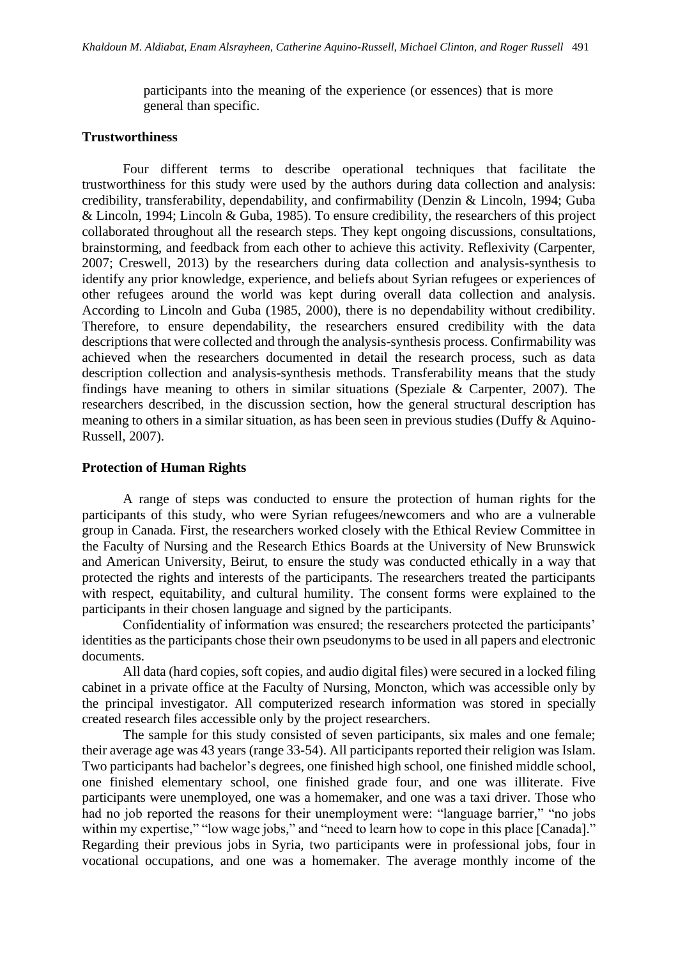participants into the meaning of the experience (or essences) that is more general than specific.

#### **Trustworthiness**

Four different terms to describe operational techniques that facilitate the trustworthiness for this study were used by the authors during data collection and analysis: credibility, transferability, dependability, and confirmability (Denzin & Lincoln, 1994; Guba & Lincoln, 1994; Lincoln & Guba, 1985). To ensure credibility, the researchers of this project collaborated throughout all the research steps. They kept ongoing discussions, consultations, brainstorming, and feedback from each other to achieve this activity. Reflexivity (Carpenter, 2007; Creswell, 2013) by the researchers during data collection and analysis-synthesis to identify any prior knowledge, experience, and beliefs about Syrian refugees or experiences of other refugees around the world was kept during overall data collection and analysis. According to Lincoln and Guba (1985, 2000), there is no dependability without credibility. Therefore, to ensure dependability, the researchers ensured credibility with the data descriptions that were collected and through the analysis-synthesis process. Confirmability was achieved when the researchers documented in detail the research process, such as data description collection and analysis-synthesis methods. Transferability means that the study findings have meaning to others in similar situations (Speziale  $&$  Carpenter, 2007). The researchers described, in the discussion section, how the general structural description has meaning to others in a similar situation, as has been seen in previous studies (Duffy & Aquino-Russell, 2007).

# **Protection of Human Rights**

A range of steps was conducted to ensure the protection of human rights for the participants of this study, who were Syrian refugees/newcomers and who are a vulnerable group in Canada. First, the researchers worked closely with the Ethical Review Committee in the Faculty of Nursing and the Research Ethics Boards at the University of New Brunswick and American University, Beirut, to ensure the study was conducted ethically in a way that protected the rights and interests of the participants. The researchers treated the participants with respect, equitability, and cultural humility. The consent forms were explained to the participants in their chosen language and signed by the participants.

Confidentiality of information was ensured; the researchers protected the participants' identities as the participants chose their own pseudonyms to be used in all papers and electronic documents.

All data (hard copies, soft copies, and audio digital files) were secured in a locked filing cabinet in a private office at the Faculty of Nursing, Moncton, which was accessible only by the principal investigator. All computerized research information was stored in specially created research files accessible only by the project researchers.

The sample for this study consisted of seven participants, six males and one female; their average age was 43 years (range 33-54). All participants reported their religion was Islam. Two participants had bachelor's degrees, one finished high school, one finished middle school, one finished elementary school, one finished grade four, and one was illiterate. Five participants were unemployed, one was a homemaker, and one was a taxi driver. Those who had no job reported the reasons for their unemployment were: "language barrier," "no jobs within my expertise," "low wage jobs," and "need to learn how to cope in this place [Canada]." Regarding their previous jobs in Syria, two participants were in professional jobs, four in vocational occupations, and one was a homemaker. The average monthly income of the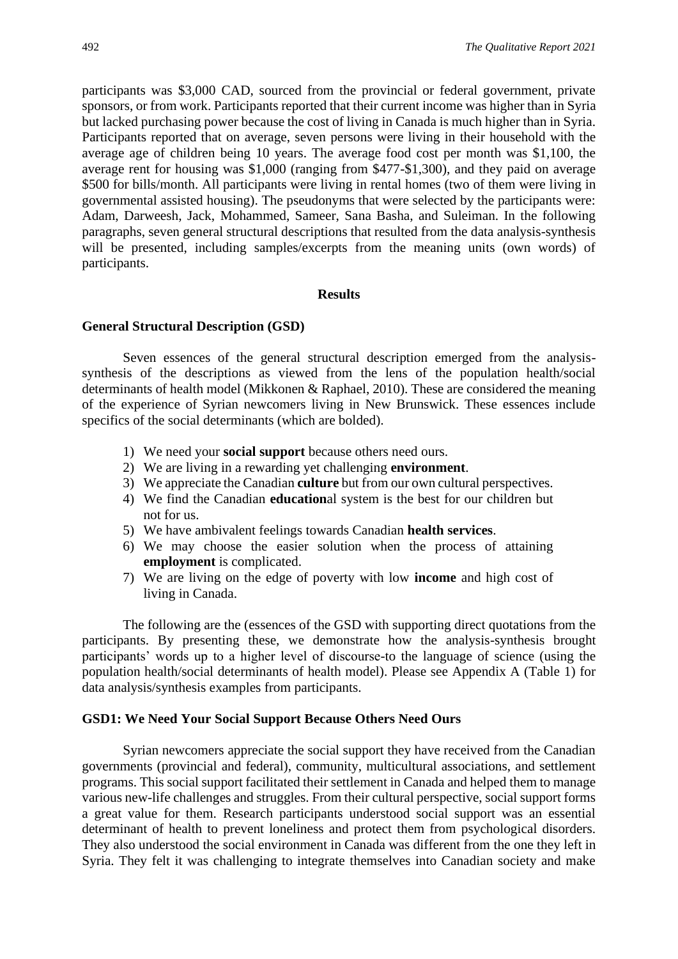participants was \$3,000 CAD, sourced from the provincial or federal government, private sponsors, or from work. Participants reported that their current income was higher than in Syria but lacked purchasing power because the cost of living in Canada is much higher than in Syria. Participants reported that on average, seven persons were living in their household with the average age of children being 10 years. The average food cost per month was \$1,100, the average rent for housing was \$1,000 (ranging from \$477-\$1,300), and they paid on average \$500 for bills/month. All participants were living in rental homes (two of them were living in governmental assisted housing). The pseudonyms that were selected by the participants were: Adam, Darweesh, Jack, Mohammed, Sameer, Sana Basha, and Suleiman. In the following paragraphs, seven general structural descriptions that resulted from the data analysis-synthesis will be presented, including samples/excerpts from the meaning units (own words) of participants.

#### **Results**

#### **General Structural Description (GSD)**

Seven essences of the general structural description emerged from the analysissynthesis of the descriptions as viewed from the lens of the population health/social determinants of health model (Mikkonen & Raphael, 2010). These are considered the meaning of the experience of Syrian newcomers living in New Brunswick. These essences include specifics of the social determinants (which are bolded).

- 1) We need your **social support** because others need ours.
- 2) We are living in a rewarding yet challenging **environment**.
- 3) We appreciate the Canadian **culture** but from our own cultural perspectives.
- 4) We find the Canadian **education**al system is the best for our children but not for us.
- 5) We have ambivalent feelings towards Canadian **health services**.
- 6) We may choose the easier solution when the process of attaining **employment** is complicated.
- 7) We are living on the edge of poverty with low **income** and high cost of living in Canada.

The following are the (essences of the GSD with supporting direct quotations from the participants. By presenting these, we demonstrate how the analysis-synthesis brought participants' words up to a higher level of discourse-to the language of science (using the population health/social determinants of health model). Please see Appendix A (Table 1) for data analysis/synthesis examples from participants.

#### **GSD1: We Need Your Social Support Because Others Need Ours**

Syrian newcomers appreciate the social support they have received from the Canadian governments (provincial and federal), community, multicultural associations, and settlement programs. This social support facilitated their settlement in Canada and helped them to manage various new-life challenges and struggles. From their cultural perspective, social support forms a great value for them. Research participants understood social support was an essential determinant of health to prevent loneliness and protect them from psychological disorders. They also understood the social environment in Canada was different from the one they left in Syria. They felt it was challenging to integrate themselves into Canadian society and make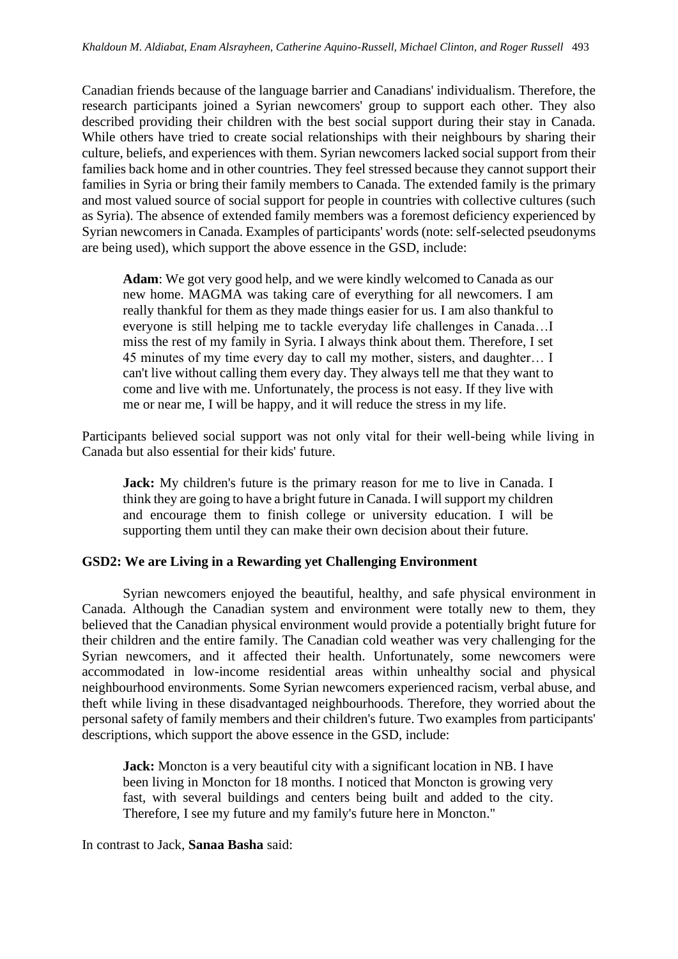Canadian friends because of the language barrier and Canadians' individualism. Therefore, the research participants joined a Syrian newcomers' group to support each other. They also described providing their children with the best social support during their stay in Canada. While others have tried to create social relationships with their neighbours by sharing their culture, beliefs, and experiences with them. Syrian newcomers lacked social support from their families back home and in other countries. They feel stressed because they cannot support their families in Syria or bring their family members to Canada. The extended family is the primary and most valued source of social support for people in countries with collective cultures (such as Syria). The absence of extended family members was a foremost deficiency experienced by Syrian newcomers in Canada. Examples of participants' words (note: self-selected pseudonyms are being used), which support the above essence in the GSD, include:

**Adam**: We got very good help, and we were kindly welcomed to Canada as our new home. MAGMA was taking care of everything for all newcomers. I am really thankful for them as they made things easier for us. I am also thankful to everyone is still helping me to tackle everyday life challenges in Canada…I miss the rest of my family in Syria. I always think about them. Therefore, I set 45 minutes of my time every day to call my mother, sisters, and daughter… I can't live without calling them every day. They always tell me that they want to come and live with me. Unfortunately, the process is not easy. If they live with me or near me, I will be happy, and it will reduce the stress in my life.

Participants believed social support was not only vital for their well-being while living in Canada but also essential for their kids' future.

**Jack:** My children's future is the primary reason for me to live in Canada. I think they are going to have a bright future in Canada. I will support my children and encourage them to finish college or university education. I will be supporting them until they can make their own decision about their future.

# **GSD2: We are Living in a Rewarding yet Challenging Environment**

Syrian newcomers enjoyed the beautiful, healthy, and safe physical environment in Canada. Although the Canadian system and environment were totally new to them, they believed that the Canadian physical environment would provide a potentially bright future for their children and the entire family. The Canadian cold weather was very challenging for the Syrian newcomers, and it affected their health. Unfortunately, some newcomers were accommodated in low-income residential areas within unhealthy social and physical neighbourhood environments. Some Syrian newcomers experienced racism, verbal abuse, and theft while living in these disadvantaged neighbourhoods. Therefore, they worried about the personal safety of family members and their children's future. Two examples from participants' descriptions, which support the above essence in the GSD, include:

**Jack:** Moncton is a very beautiful city with a significant location in NB. I have been living in Moncton for 18 months. I noticed that Moncton is growing very fast, with several buildings and centers being built and added to the city. Therefore, I see my future and my family's future here in Moncton."

In contrast to Jack, **Sanaa Basha** said: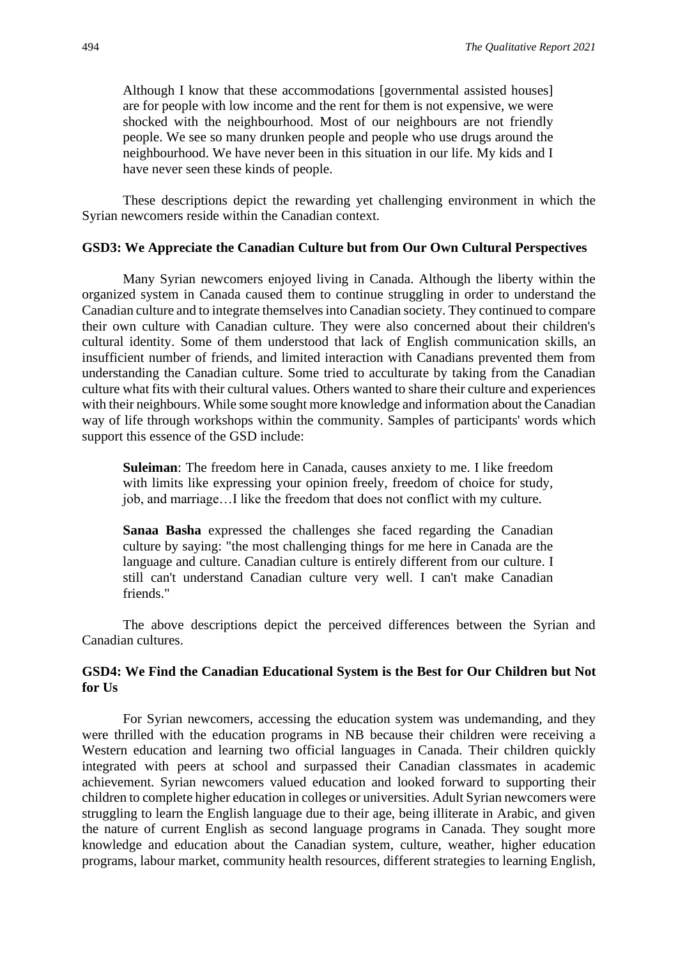Although I know that these accommodations [governmental assisted houses] are for people with low income and the rent for them is not expensive, we were shocked with the neighbourhood. Most of our neighbours are not friendly people. We see so many drunken people and people who use drugs around the neighbourhood. We have never been in this situation in our life. My kids and I have never seen these kinds of people.

These descriptions depict the rewarding yet challenging environment in which the Syrian newcomers reside within the Canadian context.

# **GSD3: We Appreciate the Canadian Culture but from Our Own Cultural Perspectives**

Many Syrian newcomers enjoyed living in Canada. Although the liberty within the organized system in Canada caused them to continue struggling in order to understand the Canadian culture and to integrate themselves into Canadian society. They continued to compare their own culture with Canadian culture. They were also concerned about their children's cultural identity. Some of them understood that lack of English communication skills, an insufficient number of friends, and limited interaction with Canadians prevented them from understanding the Canadian culture. Some tried to acculturate by taking from the Canadian culture what fits with their cultural values. Others wanted to share their culture and experiences with their neighbours. While some sought more knowledge and information about the Canadian way of life through workshops within the community. Samples of participants' words which support this essence of the GSD include:

**Suleiman**: The freedom here in Canada, causes anxiety to me. I like freedom with limits like expressing your opinion freely, freedom of choice for study, job, and marriage…I like the freedom that does not conflict with my culture.

**Sanaa Basha** expressed the challenges she faced regarding the Canadian culture by saying: "the most challenging things for me here in Canada are the language and culture. Canadian culture is entirely different from our culture. I still can't understand Canadian culture very well. I can't make Canadian friends."

The above descriptions depict the perceived differences between the Syrian and Canadian cultures.

# **GSD4: We Find the Canadian Educational System is the Best for Our Children but Not for Us**

For Syrian newcomers, accessing the education system was undemanding, and they were thrilled with the education programs in NB because their children were receiving a Western education and learning two official languages in Canada. Their children quickly integrated with peers at school and surpassed their Canadian classmates in academic achievement. Syrian newcomers valued education and looked forward to supporting their children to complete higher education in colleges or universities. Adult Syrian newcomers were struggling to learn the English language due to their age, being illiterate in Arabic, and given the nature of current English as second language programs in Canada. They sought more knowledge and education about the Canadian system, culture, weather, higher education programs, labour market, community health resources, different strategies to learning English,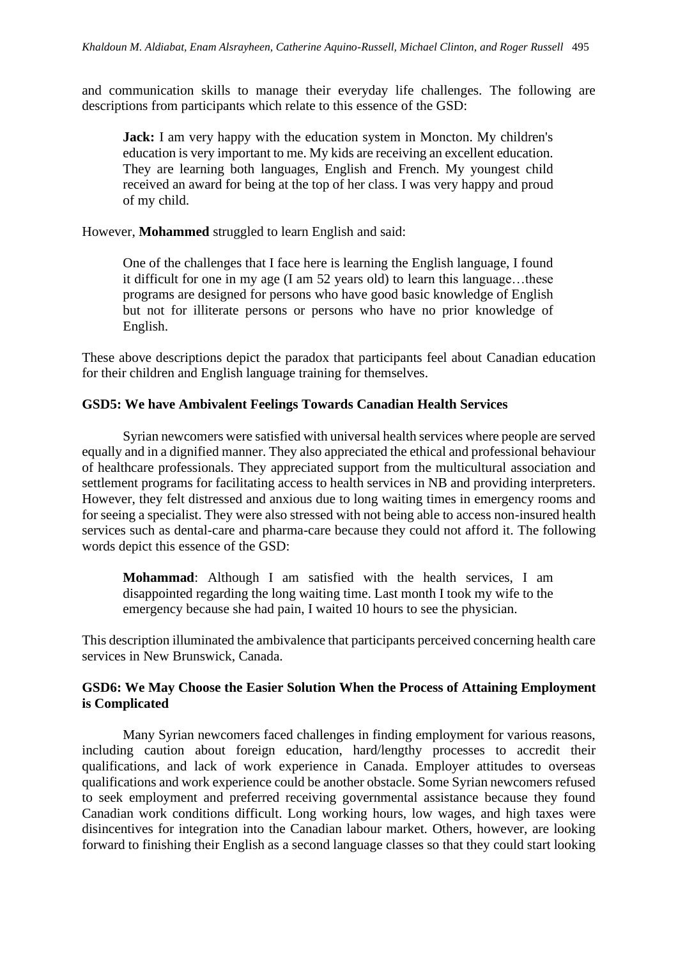and communication skills to manage their everyday life challenges. The following are descriptions from participants which relate to this essence of the GSD:

**Jack:** I am very happy with the education system in Moncton. My children's education is very important to me. My kids are receiving an excellent education. They are learning both languages, English and French. My youngest child received an award for being at the top of her class. I was very happy and proud of my child.

However, **Mohammed** struggled to learn English and said:

One of the challenges that I face here is learning the English language, I found it difficult for one in my age (I am 52 years old) to learn this language…these programs are designed for persons who have good basic knowledge of English but not for illiterate persons or persons who have no prior knowledge of English.

These above descriptions depict the paradox that participants feel about Canadian education for their children and English language training for themselves.

# **GSD5: We have Ambivalent Feelings Towards Canadian Health Services**

Syrian newcomers were satisfied with universal health services where people are served equally and in a dignified manner. They also appreciated the ethical and professional behaviour of healthcare professionals. They appreciated support from the multicultural association and settlement programs for facilitating access to health services in NB and providing interpreters. However, they felt distressed and anxious due to long waiting times in emergency rooms and for seeing a specialist. They were also stressed with not being able to access non-insured health services such as dental-care and pharma-care because they could not afford it. The following words depict this essence of the GSD:

**Mohammad**: Although I am satisfied with the health services, I am disappointed regarding the long waiting time. Last month I took my wife to the emergency because she had pain, I waited 10 hours to see the physician.

This description illuminated the ambivalence that participants perceived concerning health care services in New Brunswick, Canada.

# **GSD6: We May Choose the Easier Solution When the Process of Attaining Employment is Complicated**

Many Syrian newcomers faced challenges in finding employment for various reasons, including caution about foreign education, hard/lengthy processes to accredit their qualifications, and lack of work experience in Canada. Employer attitudes to overseas qualifications and work experience could be another obstacle. Some Syrian newcomers refused to seek employment and preferred receiving governmental assistance because they found Canadian work conditions difficult. Long working hours, low wages, and high taxes were disincentives for integration into the Canadian labour market. Others, however, are looking forward to finishing their English as a second language classes so that they could start looking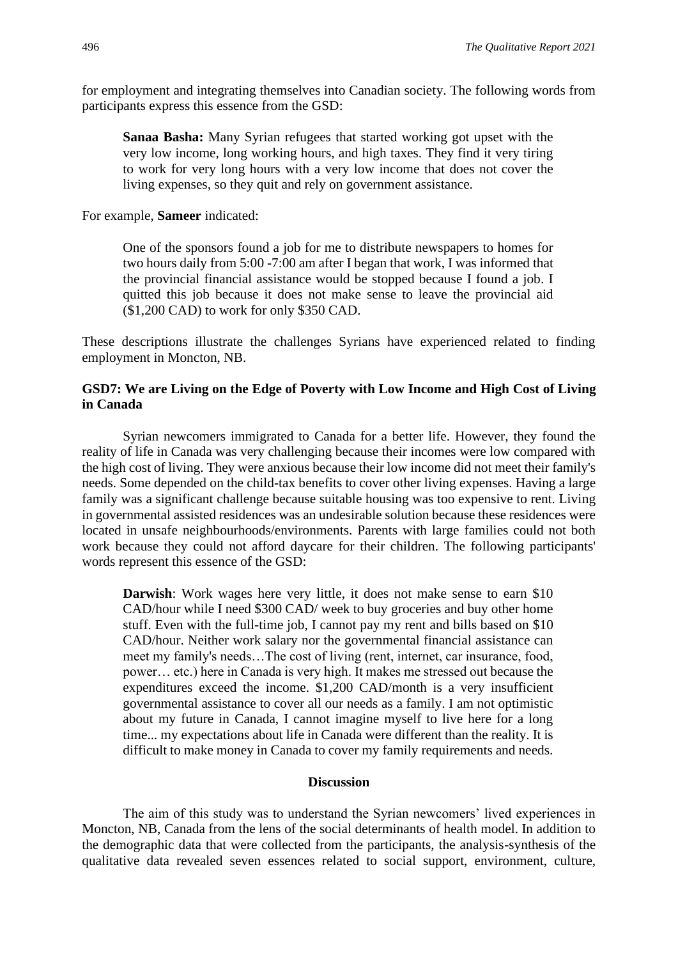for employment and integrating themselves into Canadian society. The following words from participants express this essence from the GSD:

**Sanaa Basha:** Many Syrian refugees that started working got upset with the very low income, long working hours, and high taxes. They find it very tiring to work for very long hours with a very low income that does not cover the living expenses, so they quit and rely on government assistance.

For example, **Sameer** indicated:

One of the sponsors found a job for me to distribute newspapers to homes for two hours daily from 5:00 -7:00 am after I began that work, I was informed that the provincial financial assistance would be stopped because I found a job. I quitted this job because it does not make sense to leave the provincial aid (\$1,200 CAD) to work for only \$350 CAD.

These descriptions illustrate the challenges Syrians have experienced related to finding employment in Moncton, NB.

## **GSD7: We are Living on the Edge of Poverty with Low Income and High Cost of Living in Canada**

Syrian newcomers immigrated to Canada for a better life. However, they found the reality of life in Canada was very challenging because their incomes were low compared with the high cost of living. They were anxious because their low income did not meet their family's needs. Some depended on the child-tax benefits to cover other living expenses. Having a large family was a significant challenge because suitable housing was too expensive to rent. Living in governmental assisted residences was an undesirable solution because these residences were located in unsafe neighbourhoods/environments. Parents with large families could not both work because they could not afford daycare for their children. The following participants' words represent this essence of the GSD:

**Darwish**: Work wages here very little, it does not make sense to earn \$10 CAD/hour while I need \$300 CAD/ week to buy groceries and buy other home stuff. Even with the full-time job, I cannot pay my rent and bills based on \$10 CAD/hour. Neither work salary nor the governmental financial assistance can meet my family's needs…The cost of living (rent, internet, car insurance, food, power… etc.) here in Canada is very high. It makes me stressed out because the expenditures exceed the income. \$1,200 CAD/month is a very insufficient governmental assistance to cover all our needs as a family. I am not optimistic about my future in Canada, I cannot imagine myself to live here for a long time... my expectations about life in Canada were different than the reality. It is difficult to make money in Canada to cover my family requirements and needs.

### **Discussion**

The aim of this study was to understand the Syrian newcomers' lived experiences in Moncton, NB, Canada from the lens of the social determinants of health model. In addition to the demographic data that were collected from the participants, the analysis-synthesis of the qualitative data revealed seven essences related to social support, environment, culture,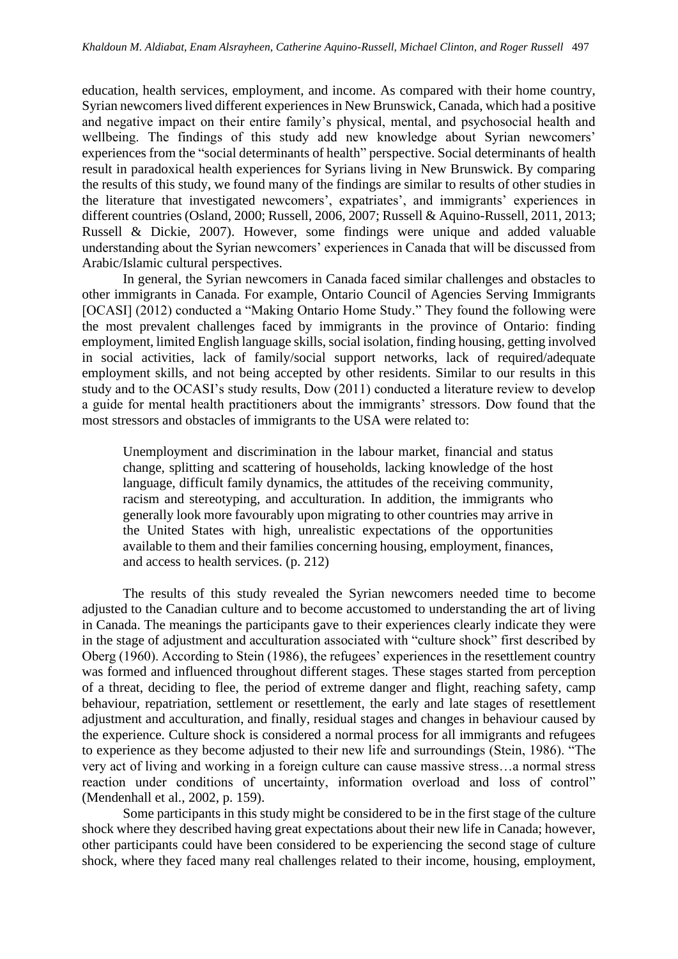education, health services, employment, and income. As compared with their home country, Syrian newcomers lived different experiences in New Brunswick, Canada, which had a positive and negative impact on their entire family's physical, mental, and psychosocial health and wellbeing. The findings of this study add new knowledge about Syrian newcomers' experiences from the "social determinants of health" perspective. Social determinants of health result in paradoxical health experiences for Syrians living in New Brunswick. By comparing the results of this study, we found many of the findings are similar to results of other studies in the literature that investigated newcomers', expatriates', and immigrants' experiences in different countries (Osland, 2000; Russell, 2006, 2007; Russell & Aquino-Russell, 2011, 2013; Russell & Dickie, 2007). However, some findings were unique and added valuable understanding about the Syrian newcomers' experiences in Canada that will be discussed from Arabic/Islamic cultural perspectives.

In general, the Syrian newcomers in Canada faced similar challenges and obstacles to other immigrants in Canada. For example, Ontario Council of Agencies Serving Immigrants [OCASI] (2012) conducted a "Making Ontario Home Study." They found the following were the most prevalent challenges faced by immigrants in the province of Ontario: finding employment, limited English language skills, social isolation, finding housing, getting involved in social activities, lack of family/social support networks, lack of required/adequate employment skills, and not being accepted by other residents. Similar to our results in this study and to the OCASI's study results, Dow (2011) conducted a literature review to develop a guide for mental health practitioners about the immigrants' stressors. Dow found that the most stressors and obstacles of immigrants to the USA were related to:

Unemployment and discrimination in the labour market, financial and status change, splitting and scattering of households, lacking knowledge of the host language, difficult family dynamics, the attitudes of the receiving community, racism and stereotyping, and acculturation. In addition, the immigrants who generally look more favourably upon migrating to other countries may arrive in the United States with high, unrealistic expectations of the opportunities available to them and their families concerning housing, employment, finances, and access to health services. (p. 212)

The results of this study revealed the Syrian newcomers needed time to become adjusted to the Canadian culture and to become accustomed to understanding the art of living in Canada. The meanings the participants gave to their experiences clearly indicate they were in the stage of adjustment and acculturation associated with "culture shock" first described by Oberg (1960). According to Stein (1986), the refugees' experiences in the resettlement country was formed and influenced throughout different stages. These stages started from perception of a threat, deciding to flee, the period of extreme danger and flight, reaching safety, camp behaviour, repatriation, settlement or resettlement, the early and late stages of resettlement adjustment and acculturation, and finally, residual stages and changes in behaviour caused by the experience. Culture shock is considered a normal process for all immigrants and refugees to experience as they become adjusted to their new life and surroundings (Stein, 1986). "The very act of living and working in a foreign culture can cause massive stress…a normal stress reaction under conditions of uncertainty, information overload and loss of control" (Mendenhall et al., 2002, p. 159).

Some participants in this study might be considered to be in the first stage of the culture shock where they described having great expectations about their new life in Canada; however, other participants could have been considered to be experiencing the second stage of culture shock, where they faced many real challenges related to their income, housing, employment,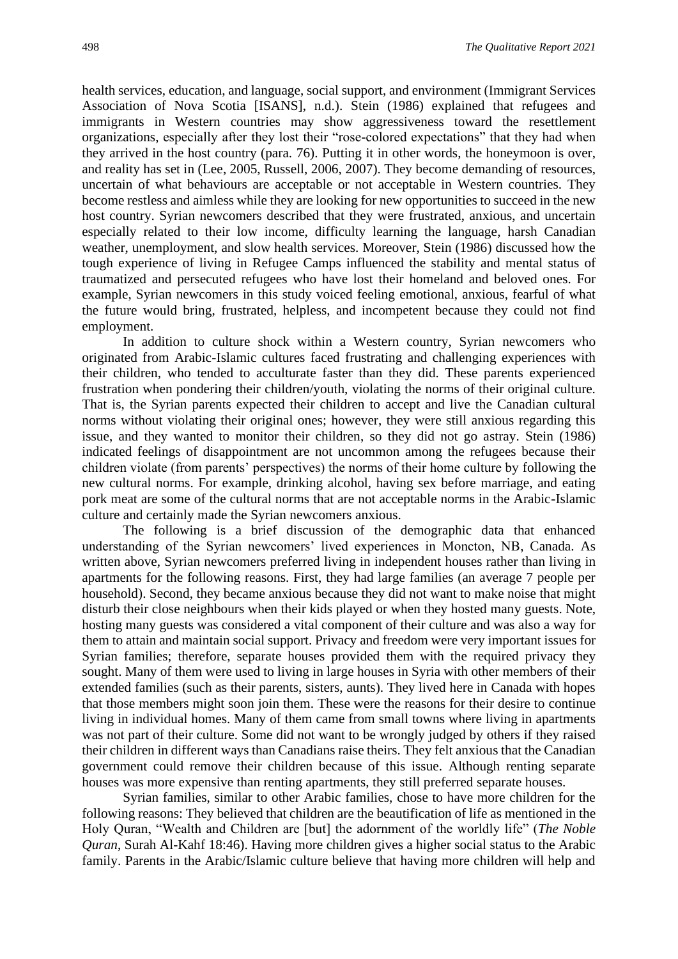health services, education, and language, social support, and environment (Immigrant Services Association of Nova Scotia [ISANS], n.d.). Stein (1986) explained that refugees and immigrants in Western countries may show aggressiveness toward the resettlement organizations, especially after they lost their "rose-colored expectations" that they had when they arrived in the host country (para. 76). Putting it in other words, the honeymoon is over, and reality has set in (Lee, 2005, Russell, 2006, 2007). They become demanding of resources, uncertain of what behaviours are acceptable or not acceptable in Western countries. They become restless and aimless while they are looking for new opportunities to succeed in the new host country. Syrian newcomers described that they were frustrated, anxious, and uncertain especially related to their low income, difficulty learning the language, harsh Canadian weather, unemployment, and slow health services. Moreover, Stein (1986) discussed how the tough experience of living in Refugee Camps influenced the stability and mental status of traumatized and persecuted refugees who have lost their homeland and beloved ones. For example, Syrian newcomers in this study voiced feeling emotional, anxious, fearful of what the future would bring, frustrated, helpless, and incompetent because they could not find employment.

In addition to culture shock within a Western country, Syrian newcomers who originated from Arabic-Islamic cultures faced frustrating and challenging experiences with their children, who tended to acculturate faster than they did. These parents experienced frustration when pondering their children/youth, violating the norms of their original culture. That is, the Syrian parents expected their children to accept and live the Canadian cultural norms without violating their original ones; however, they were still anxious regarding this issue, and they wanted to monitor their children, so they did not go astray. Stein (1986) indicated feelings of disappointment are not uncommon among the refugees because their children violate (from parents' perspectives) the norms of their home culture by following the new cultural norms. For example, drinking alcohol, having sex before marriage, and eating pork meat are some of the cultural norms that are not acceptable norms in the Arabic-Islamic culture and certainly made the Syrian newcomers anxious.

The following is a brief discussion of the demographic data that enhanced understanding of the Syrian newcomers' lived experiences in Moncton, NB, Canada. As written above, Syrian newcomers preferred living in independent houses rather than living in apartments for the following reasons. First, they had large families (an average 7 people per household). Second, they became anxious because they did not want to make noise that might disturb their close neighbours when their kids played or when they hosted many guests. Note, hosting many guests was considered a vital component of their culture and was also a way for them to attain and maintain social support. Privacy and freedom were very important issues for Syrian families; therefore, separate houses provided them with the required privacy they sought. Many of them were used to living in large houses in Syria with other members of their extended families (such as their parents, sisters, aunts). They lived here in Canada with hopes that those members might soon join them. These were the reasons for their desire to continue living in individual homes. Many of them came from small towns where living in apartments was not part of their culture. Some did not want to be wrongly judged by others if they raised their children in different ways than Canadians raise theirs. They felt anxious that the Canadian government could remove their children because of this issue. Although renting separate houses was more expensive than renting apartments, they still preferred separate houses.

Syrian families, similar to other Arabic families, chose to have more children for the following reasons: They believed that children are the beautification of life as mentioned in the Holy Quran, "Wealth and Children are [but] the adornment of the worldly life" (*The Noble Quran*, Surah Al-Kahf 18:46). Having more children gives a higher social status to the Arabic family. Parents in the Arabic/Islamic culture believe that having more children will help and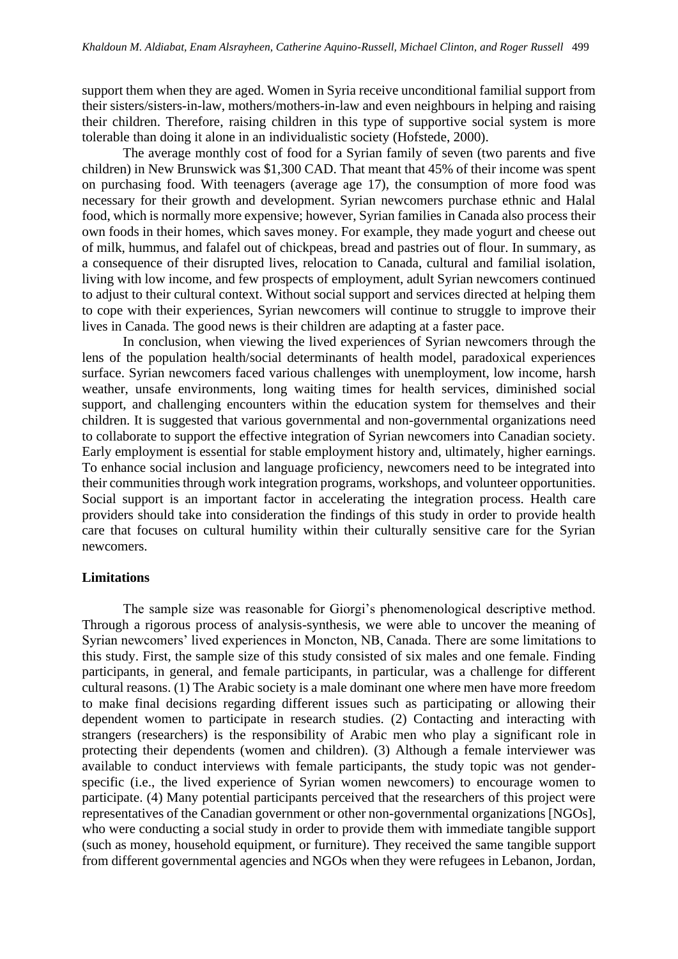support them when they are aged. Women in Syria receive unconditional familial support from their sisters/sisters-in-law, mothers/mothers-in-law and even neighbours in helping and raising their children. Therefore, raising children in this type of supportive social system is more tolerable than doing it alone in an individualistic society (Hofstede, 2000).

The average monthly cost of food for a Syrian family of seven (two parents and five children) in New Brunswick was \$1,300 CAD. That meant that 45% of their income was spent on purchasing food. With teenagers (average age 17), the consumption of more food was necessary for their growth and development. Syrian newcomers purchase ethnic and Halal food, which is normally more expensive; however, Syrian families in Canada also process their own foods in their homes, which saves money. For example, they made yogurt and cheese out of milk, hummus, and falafel out of chickpeas, bread and pastries out of flour. In summary, as a consequence of their disrupted lives, relocation to Canada, cultural and familial isolation, living with low income, and few prospects of employment, adult Syrian newcomers continued to adjust to their cultural context. Without social support and services directed at helping them to cope with their experiences, Syrian newcomers will continue to struggle to improve their lives in Canada. The good news is their children are adapting at a faster pace.

In conclusion, when viewing the lived experiences of Syrian newcomers through the lens of the population health/social determinants of health model, paradoxical experiences surface. Syrian newcomers faced various challenges with unemployment, low income, harsh weather, unsafe environments, long waiting times for health services, diminished social support, and challenging encounters within the education system for themselves and their children. It is suggested that various governmental and non-governmental organizations need to collaborate to support the effective integration of Syrian newcomers into Canadian society. Early employment is essential for stable employment history and, ultimately, higher earnings. To enhance social inclusion and language proficiency, newcomers need to be integrated into their communities through work integration programs, workshops, and volunteer opportunities. Social support is an important factor in accelerating the integration process. Health care providers should take into consideration the findings of this study in order to provide health care that focuses on cultural humility within their culturally sensitive care for the Syrian newcomers.

#### **Limitations**

The sample size was reasonable for Giorgi's phenomenological descriptive method. Through a rigorous process of analysis-synthesis, we were able to uncover the meaning of Syrian newcomers' lived experiences in Moncton, NB, Canada. There are some limitations to this study. First, the sample size of this study consisted of six males and one female. Finding participants, in general, and female participants, in particular, was a challenge for different cultural reasons. (1) The Arabic society is a male dominant one where men have more freedom to make final decisions regarding different issues such as participating or allowing their dependent women to participate in research studies. (2) Contacting and interacting with strangers (researchers) is the responsibility of Arabic men who play a significant role in protecting their dependents (women and children). (3) Although a female interviewer was available to conduct interviews with female participants, the study topic was not genderspecific (i.e., the lived experience of Syrian women newcomers) to encourage women to participate. (4) Many potential participants perceived that the researchers of this project were representatives of the Canadian government or other non-governmental organizations [NGOs], who were conducting a social study in order to provide them with immediate tangible support (such as money, household equipment, or furniture). They received the same tangible support from different governmental agencies and NGOs when they were refugees in Lebanon, Jordan,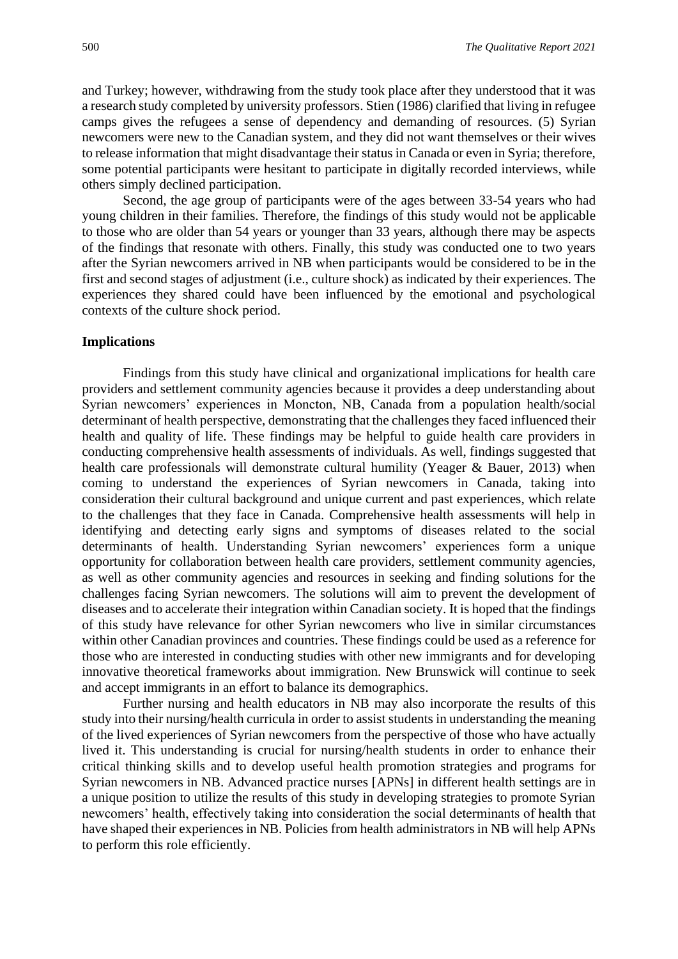and Turkey; however, withdrawing from the study took place after they understood that it was a research study completed by university professors. Stien (1986) clarified that living in refugee camps gives the refugees a sense of dependency and demanding of resources. (5) Syrian newcomers were new to the Canadian system, and they did not want themselves or their wives to release information that might disadvantage their status in Canada or even in Syria; therefore, some potential participants were hesitant to participate in digitally recorded interviews, while others simply declined participation.

Second, the age group of participants were of the ages between 33-54 years who had young children in their families. Therefore, the findings of this study would not be applicable to those who are older than 54 years or younger than 33 years, although there may be aspects of the findings that resonate with others. Finally, this study was conducted one to two years after the Syrian newcomers arrived in NB when participants would be considered to be in the first and second stages of adjustment (i.e., culture shock) as indicated by their experiences. The experiences they shared could have been influenced by the emotional and psychological contexts of the culture shock period.

#### **Implications**

Findings from this study have clinical and organizational implications for health care providers and settlement community agencies because it provides a deep understanding about Syrian newcomers' experiences in Moncton, NB, Canada from a population health/social determinant of health perspective, demonstrating that the challenges they faced influenced their health and quality of life. These findings may be helpful to guide health care providers in conducting comprehensive health assessments of individuals. As well, findings suggested that health care professionals will demonstrate cultural humility (Yeager & Bauer, 2013) when coming to understand the experiences of Syrian newcomers in Canada, taking into consideration their cultural background and unique current and past experiences, which relate to the challenges that they face in Canada. Comprehensive health assessments will help in identifying and detecting early signs and symptoms of diseases related to the social determinants of health. Understanding Syrian newcomers' experiences form a unique opportunity for collaboration between health care providers, settlement community agencies, as well as other community agencies and resources in seeking and finding solutions for the challenges facing Syrian newcomers. The solutions will aim to prevent the development of diseases and to accelerate their integration within Canadian society. It is hoped that the findings of this study have relevance for other Syrian newcomers who live in similar circumstances within other Canadian provinces and countries. These findings could be used as a reference for those who are interested in conducting studies with other new immigrants and for developing innovative theoretical frameworks about immigration. New Brunswick will continue to seek and accept immigrants in an effort to balance its demographics.

Further nursing and health educators in NB may also incorporate the results of this study into their nursing/health curricula in order to assist students in understanding the meaning of the lived experiences of Syrian newcomers from the perspective of those who have actually lived it. This understanding is crucial for nursing/health students in order to enhance their critical thinking skills and to develop useful health promotion strategies and programs for Syrian newcomers in NB. Advanced practice nurses [APNs] in different health settings are in a unique position to utilize the results of this study in developing strategies to promote Syrian newcomers' health, effectively taking into consideration the social determinants of health that have shaped their experiences in NB. Policies from health administrators in NB will help APNs to perform this role efficiently.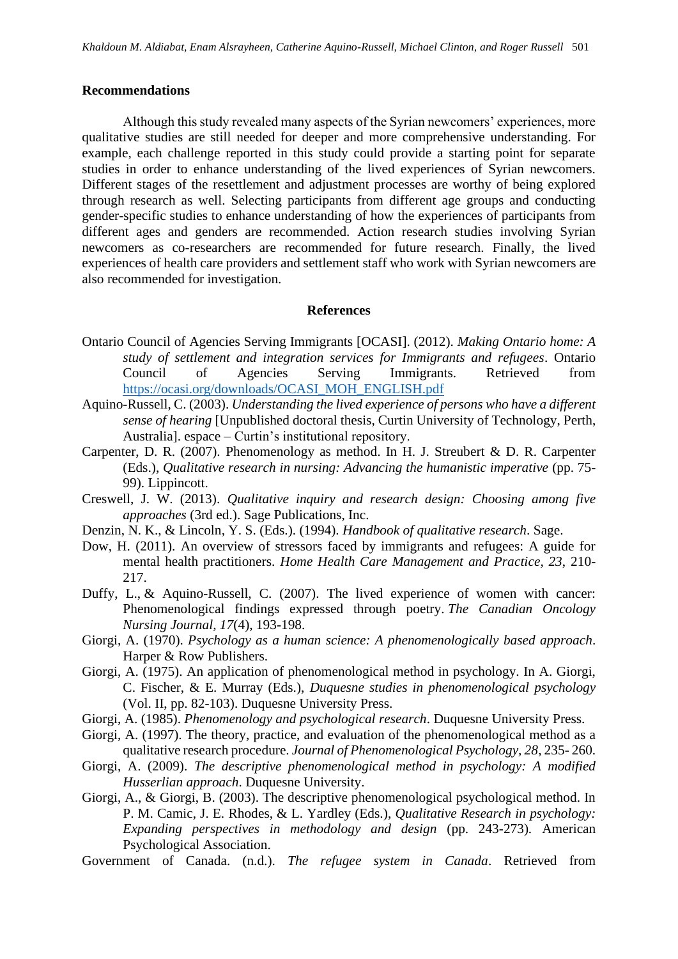#### **Recommendations**

Although this study revealed many aspects of the Syrian newcomers' experiences, more qualitative studies are still needed for deeper and more comprehensive understanding. For example, each challenge reported in this study could provide a starting point for separate studies in order to enhance understanding of the lived experiences of Syrian newcomers. Different stages of the resettlement and adjustment processes are worthy of being explored through research as well. Selecting participants from different age groups and conducting gender-specific studies to enhance understanding of how the experiences of participants from different ages and genders are recommended. Action research studies involving Syrian newcomers as co-researchers are recommended for future research. Finally, the lived experiences of health care providers and settlement staff who work with Syrian newcomers are also recommended for investigation.

#### **References**

- Ontario Council of Agencies Serving Immigrants [OCASI]. (2012). *Making Ontario home: A study of settlement and integration services for Immigrants and refugees*. Ontario Council of Agencies Serving Immigrants. Retrieved from [https://ocasi.org/downloads/OCASI\\_MOH\\_ENGLISH.pdf](https://ocasi.org/downloads/OCASI_MOH_ENGLISH.pdf)
- Aquino-Russell, C. (2003). *Understanding the lived experience of persons who have a different sense of hearing* [Unpublished doctoral thesis, Curtin University of Technology, Perth, Australia]. espace – Curtin's institutional repository.
- Carpenter, D. R. (2007). Phenomenology as method. In H. J. Streubert & D. R. Carpenter (Eds.), *Qualitative research in nursing: Advancing the humanistic imperative* (pp. 75- 99). Lippincott.
- Creswell, J. W. (2013). *Qualitative inquiry and research design: Choosing among five approaches* (3rd ed.). Sage Publications, Inc.
- Denzin, N. K., & Lincoln, Y. S. (Eds.). (1994). *Handbook of qualitative research*. Sage.
- Dow, H. (2011). An overview of stressors faced by immigrants and refugees: A guide for mental health practitioners. *Home Health Care Management and Practice, 23*, 210- 217.
- Duffy, L., & Aquino-Russell, C. (2007). The lived experience of women with cancer: Phenomenological findings expressed through poetry. *The Canadian Oncology Nursing Journal, 17*(4), 193-198.
- Giorgi, A. (1970). *Psychology as a human science: A phenomenologically based approach*. Harper & Row Publishers.
- Giorgi, A. (1975). An application of phenomenological method in psychology. In A. Giorgi, C. Fischer, & E. Murray (Eds.), *Duquesne studies in phenomenological psychology* (Vol. II, pp. 82-103). Duquesne University Press.
- Giorgi, A. (1985). *Phenomenology and psychological research*. Duquesne University Press.
- Giorgi, A. (1997). The theory, practice, and evaluation of the phenomenological method as a qualitative research procedure. *Journal of Phenomenological Psychology, 28*, 235- 260.
- Giorgi, A. (2009). *The descriptive phenomenological method in psychology: A modified Husserlian approach*. Duquesne University.
- Giorgi, A., & Giorgi, B. (2003). The descriptive phenomenological psychological method. In P. M. Camic, J. E. Rhodes, & L. Yardley (Eds.), *Qualitative Research in psychology: Expanding perspectives in methodology and design* (pp. 243-273)*.* American Psychological Association.
- Government of Canada. (n.d.). *The refugee system in Canada*. Retrieved from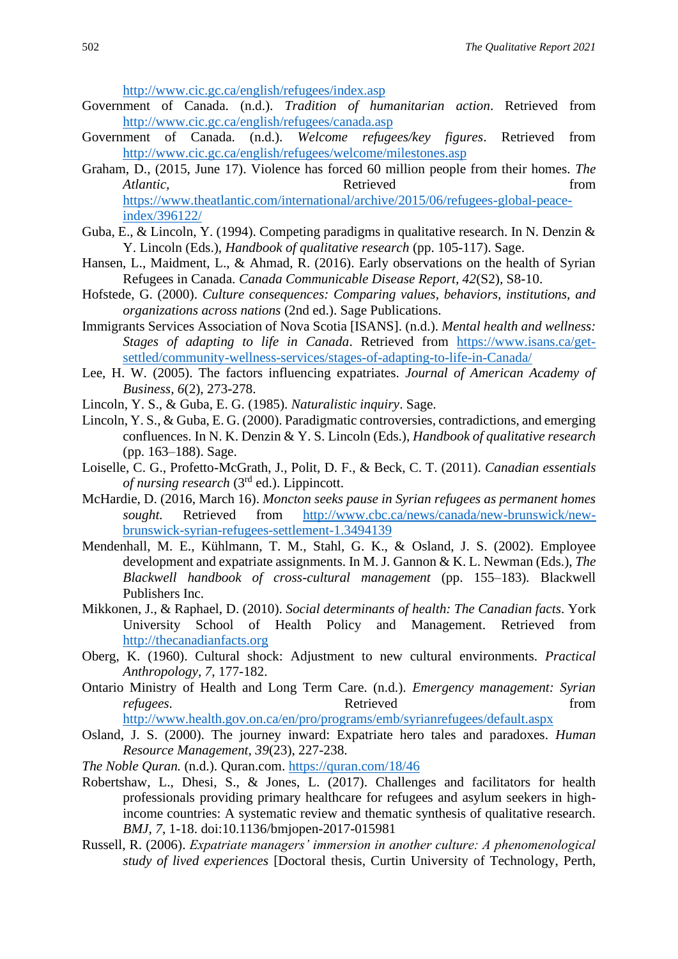<http://www.cic.gc.ca/english/refugees/index.asp>

- Government of Canada. (n.d.). *Tradition of humanitarian action*. Retrieved from <http://www.cic.gc.ca/english/refugees/canada.asp>
- Government of Canada. (n.d.). *Welcome refugees/key figures*. Retrieved from <http://www.cic.gc.ca/english/refugees/welcome/milestones.asp>
- Graham, D., (2015, June 17). Violence has forced 60 million people from their homes*. The Atlantic*, **Retrieved** *Retrieved new <i>Retrieved new <i>Retrieved new <i>Retrieved new <i>Retrieved new <i>Retrieved new <i>Retrieved new <i>Retrieved new <i>Retrieved* **<b>***new <i>Retrieved new <i>Retriev* [https://www.theatlantic.com/international/archive/2015/06/refugees-global-peace](https://www.theatlantic.com/international/archive/2015/06/refugees-global-peace-index/396122/)[index/396122/](https://www.theatlantic.com/international/archive/2015/06/refugees-global-peace-index/396122/)
- Guba, E., & Lincoln, Y. (1994). Competing paradigms in qualitative research. In N. Denzin & Y. Lincoln (Eds.), *Handbook of qualitative research* (pp. 105-117). Sage.
- Hansen, L., Maidment, L., & Ahmad, R. (2016). Early observations on the health of Syrian Refugees in Canada. *Canada Communicable Disease Report, 42*(S2), S8-10.
- Hofstede, G. (2000). *Culture consequences: Comparing values, behaviors, institutions, and organizations across nations* (2nd ed.). Sage Publications.
- Immigrants Services Association of Nova Scotia [ISANS]. (n.d.). *Mental health and wellness: Stages of adapting to life in Canada*. Retrieved from [https://www.isans.ca/get](https://www.isans.ca/get-settled/community-wellness-services/stages-of-adapting-to-life-in-Canada/)[settled/community-wellness-services/stages-of-adapting-to-life-in-Canada/](https://www.isans.ca/get-settled/community-wellness-services/stages-of-adapting-to-life-in-Canada/)
- Lee, H. W. (2005). The factors influencing expatriates. *Journal of American Academy of Business, 6*(2), 273-278.
- Lincoln, Y. S., & Guba, E. G. (1985). *Naturalistic inquiry*. Sage.
- Lincoln, Y. S., & Guba, E. G. (2000). Paradigmatic controversies, contradictions, and emerging confluences. In N. K. Denzin & Y. S. Lincoln (Eds.), *Handbook of qualitative research*  (pp. 163–188). Sage.
- Loiselle, C. G., Profetto-McGrath, J., Polit, D. F., & Beck, C. T. (2011). *Canadian essentials of nursing research* (3rd ed.). Lippincott.
- McHardie, D. (2016, March 16). *Moncton seeks pause in Syrian refugees as permanent homes sought.* Retrieved from [http://www.cbc.ca/news/canada/new-brunswick/new](http://www.cbc.ca/news/canada/new-brunswick/new-brunswick-syrian-refugees-settlement-1.3494139)[brunswick-syrian-refugees-settlement-1.3494139](http://www.cbc.ca/news/canada/new-brunswick/new-brunswick-syrian-refugees-settlement-1.3494139)
- Mendenhall, M. E., Kühlmann, T. M., Stahl, G. K., & Osland, J. S. (2002). Employee development and expatriate assignments. In M. J. Gannon & K. L. Newman (Eds.), *The Blackwell handbook of cross-cultural management* (pp. 155–183)*.* Blackwell Publishers Inc.
- Mikkonen, J., & Raphael, D. (2010). *Social determinants of health: The Canadian facts*. York University School of Health Policy and Management*.* Retrieved from [http://thecanadianfacts.org](http://thecanadianfacts.org/)
- Oberg, K. (1960). Cultural shock: Adjustment to new cultural environments. *Practical Anthropology, 7*, 177-182.
- Ontario Ministry of Health and Long Term Care. (n.d.). *Emergency management: Syrian refugees.* From **Retrieved** from *refugees*. <http://www.health.gov.on.ca/en/pro/programs/emb/syrianrefugees/default.aspx>
- Osland, J. S. (2000). The journey inward: Expatriate hero tales and paradoxes. *Human Resource Management, 39*(23), 227-238.
- *The Noble Quran.* (n.d.). Quran.com.<https://quran.com/18/46>
- Robertshaw, L., Dhesi, S., & Jones, L. (2017). Challenges and facilitators for health professionals providing primary healthcare for refugees and asylum seekers in highincome countries: A systematic review and thematic synthesis of qualitative research. *BMJ, 7*, 1-18. doi:10.1136/bmjopen-2017-015981
- Russell, R. (2006). *Expatriate managers' immersion in another culture: A phenomenological study of lived experiences* [Doctoral thesis, Curtin University of Technology, Perth,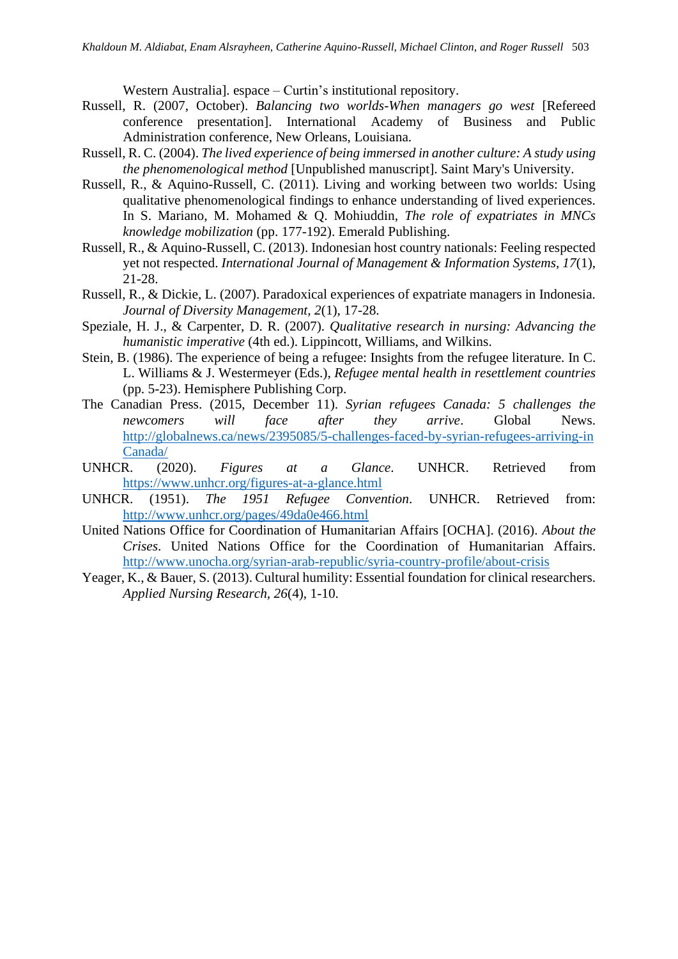Western Australia]. espace – Curtin's institutional repository.

- Russell, R. (2007, October). *Balancing two worlds-When managers go west* [Refereed conference presentation]. International Academy of Business and Public Administration conference, New Orleans, Louisiana.
- Russell, R. C. (2004). *The lived experience of being immersed in another culture: A study using the phenomenological method* [Unpublished manuscript]. Saint Mary's University.
- Russell, R., & Aquino-Russell, C. (2011). Living and working between two worlds: Using qualitative phenomenological findings to enhance understanding of lived experiences. In S. Mariano, M. Mohamed & Q. Mohiuddin, *The role of expatriates in MNCs knowledge mobilization* (pp. 177-192). Emerald Publishing.
- Russell, R., & Aquino-Russell, C. (2013). Indonesian host country nationals: Feeling respected yet not respected. *International Journal of Management & Information Systems, 17*(1), 21-28.
- Russell, R., & Dickie, L. (2007). Paradoxical experiences of expatriate managers in Indonesia. *Journal of Diversity Management, 2*(1), 17-28.
- Speziale, H. J., & Carpenter, D. R. (2007). *Qualitative research in nursing: Advancing the humanistic imperative* (4th ed.). Lippincott, Williams, and Wilkins.
- Stein, B. (1986). The experience of being a refugee: Insights from the refugee literature. In C. L. Williams & J. Westermeyer (Eds.), *Refugee mental health in resettlement countries* (pp. 5-23). Hemisphere Publishing Corp.
- The Canadian Press. (2015, December 11). *Syrian refugees Canada: 5 challenges the newcomers will face after they arrive*. Global News. [http://globalnews.ca/news/2395085/5-challenges-faced-by-syrian-refugees-arriving-in](http://globalnews.ca/news/2395085/5-challenges-faced-by-syrian-refugees-arriving-in%20Canada/)  [Canada/](http://globalnews.ca/news/2395085/5-challenges-faced-by-syrian-refugees-arriving-in%20Canada/)
- UNHCR. (2020). *Figures at a Glance*. UNHCR. Retrieved from <https://www.unhcr.org/figures-at-a-glance.html>
- UNHCR. (1951). *The 1951 Refugee Convention*. UNHCR. Retrieved from: <http://www.unhcr.org/pages/49da0e466.html>
- United Nations Office for Coordination of Humanitarian Affairs [OCHA]. (2016). *About the Crises*. United Nations Office for the Coordination of Humanitarian Affairs. <http://www.unocha.org/syrian-arab-republic/syria-country-profile/about-crisis>
- Yeager, K., & Bauer, S. (2013). Cultural humility: Essential foundation for clinical researchers. *Applied Nursing Research, 26*(4), 1-10.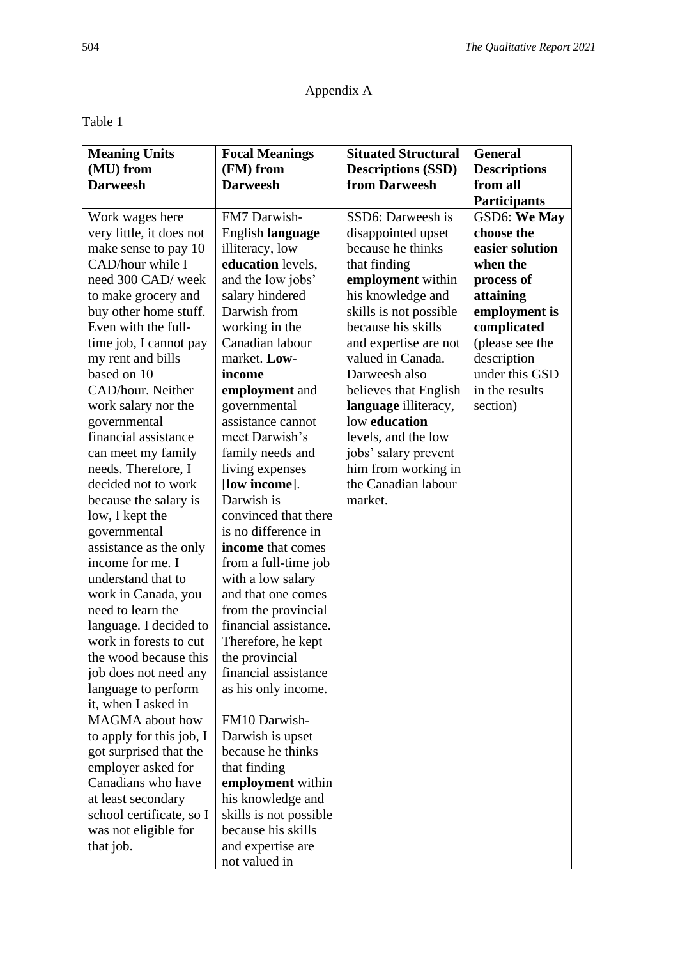# Appendix A

# Table 1

| <b>Meaning Units</b>     | <b>Focal Meanings</b>  | <b>Situated Structural</b> | <b>General</b>      |
|--------------------------|------------------------|----------------------------|---------------------|
| (MU) from                | (FM) from              | <b>Descriptions (SSD)</b>  | <b>Descriptions</b> |
| <b>Darweesh</b>          | <b>Darweesh</b>        | from Darweesh              | from all            |
|                          |                        |                            | <b>Participants</b> |
| Work wages here          | FM7 Darwish-           | SSD6: Darweesh is          | <b>GSD6: We May</b> |
| very little, it does not | English language       | disappointed upset         | choose the          |
| make sense to pay 10     | illiteracy, low        | because he thinks          | easier solution     |
| CAD/hour while I         | education levels,      | that finding               | when the            |
| need 300 CAD/ week       | and the low jobs'      | employment within          | process of          |
| to make grocery and      | salary hindered        | his knowledge and          | attaining           |
| buy other home stuff.    | Darwish from           | skills is not possible     | employment is       |
| Even with the full-      | working in the         | because his skills         | complicated         |
| time job, I cannot pay   | Canadian labour        | and expertise are not      | (please see the     |
| my rent and bills        | market. Low-           | valued in Canada.          | description         |
| based on 10              | income                 | Darweesh also              | under this GSD      |
| CAD/hour. Neither        | employment and         | believes that English      | in the results      |
| work salary nor the      | governmental           | language illiteracy,       | section)            |
| governmental             | assistance cannot      | low education              |                     |
| financial assistance     | meet Darwish's         | levels, and the low        |                     |
| can meet my family       | family needs and       | jobs' salary prevent       |                     |
| needs. Therefore, I      | living expenses        | him from working in        |                     |
| decided not to work      | [low income].          | the Canadian labour        |                     |
| because the salary is    | Darwish is             | market.                    |                     |
| low, I kept the          | convinced that there   |                            |                     |
| governmental             | is no difference in    |                            |                     |
| assistance as the only   | income that comes      |                            |                     |
| income for me. I         | from a full-time job   |                            |                     |
| understand that to       | with a low salary      |                            |                     |
| work in Canada, you      | and that one comes     |                            |                     |
| need to learn the        | from the provincial    |                            |                     |
| language. I decided to   | financial assistance.  |                            |                     |
| work in forests to cut   | Therefore, he kept     |                            |                     |
| the wood because this    | the provincial         |                            |                     |
| job does not need any    | financial assistance   |                            |                     |
| language to perform      | as his only income.    |                            |                     |
| it, when I asked in      |                        |                            |                     |
| <b>MAGMA</b> about how   | FM10 Darwish-          |                            |                     |
| to apply for this job, I | Darwish is upset       |                            |                     |
| got surprised that the   | because he thinks      |                            |                     |
| employer asked for       | that finding           |                            |                     |
| Canadians who have       | employment within      |                            |                     |
| at least secondary       | his knowledge and      |                            |                     |
| school certificate, so I | skills is not possible |                            |                     |
| was not eligible for     | because his skills     |                            |                     |
| that job.                | and expertise are      |                            |                     |
|                          | not valued in          |                            |                     |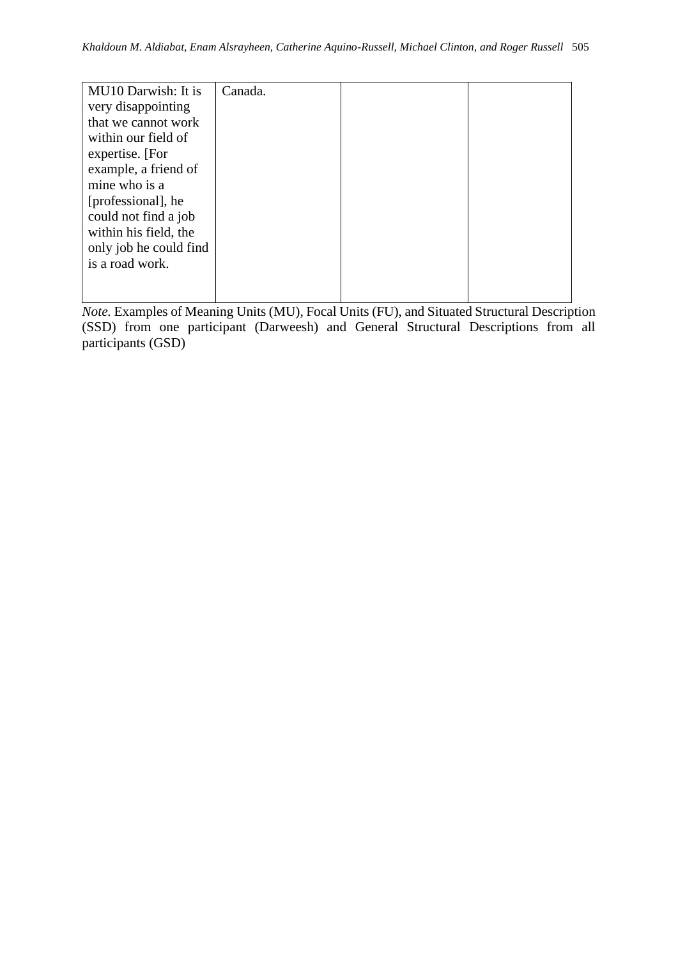| MU <sub>10</sub> Darwish: It is | Canada. |  |
|---------------------------------|---------|--|
| very disappointing              |         |  |
| that we cannot work             |         |  |
| within our field of             |         |  |
| expertise. [For                 |         |  |
| example, a friend of            |         |  |
| mine who is a                   |         |  |
| [professional], he              |         |  |
| could not find a job            |         |  |
| within his field, the           |         |  |
| only job he could find          |         |  |
| is a road work.                 |         |  |
|                                 |         |  |
|                                 |         |  |

*Note.* Examples of Meaning Units (MU), Focal Units (FU), and Situated Structural Description (SSD) from one participant (Darweesh) and General Structural Descriptions from all participants (GSD)